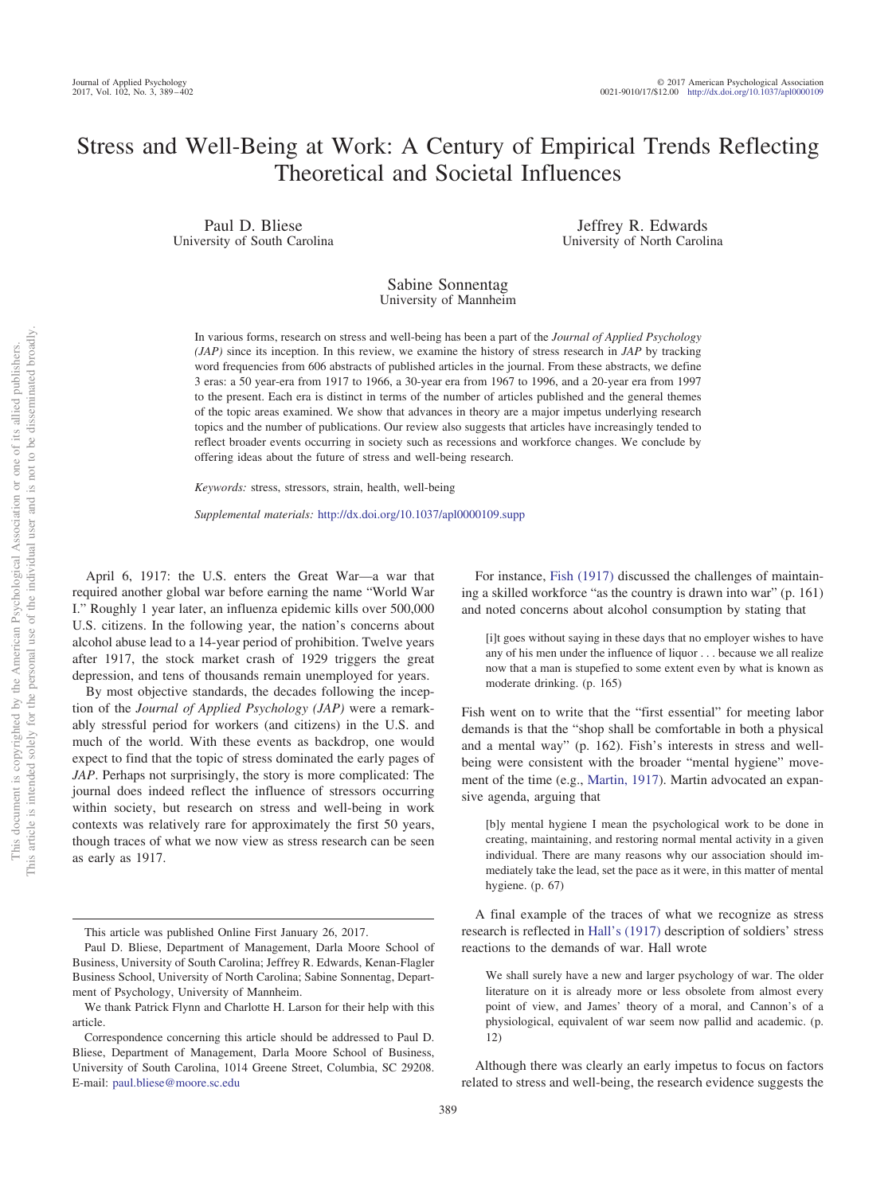# Stress and Well-Being at Work: A Century of Empirical Trends Reflecting Theoretical and Societal Influences

Paul D. Bliese University of South Carolina

Jeffrey R. Edwards University of North Carolina

Sabine Sonnentag University of Mannheim

In various forms, research on stress and well-being has been a part of the *Journal of Applied Psychology (JAP)* since its inception. In this review, we examine the history of stress research in *JAP* by tracking word frequencies from 606 abstracts of published articles in the journal. From these abstracts, we define 3 eras: a 50 year-era from 1917 to 1966, a 30-year era from 1967 to 1996, and a 20-year era from 1997 to the present. Each era is distinct in terms of the number of articles published and the general themes of the topic areas examined. We show that advances in theory are a major impetus underlying research topics and the number of publications. Our review also suggests that articles have increasingly tended to reflect broader events occurring in society such as recessions and workforce changes. We conclude by offering ideas about the future of stress and well-being research.

*Keywords:* stress, stressors, strain, health, well-being

*Supplemental materials:* http://dx.doi.org[/10.1037/apl0000109.supp](http://dx.doi.org/10.1037/apl0000109.supp)

April 6, 1917: the U.S. enters the Great War—a war that required another global war before earning the name "World War I." Roughly 1 year later, an influenza epidemic kills over 500,000 U.S. citizens. In the following year, the nation's concerns about alcohol abuse lead to a 14-year period of prohibition. Twelve years after 1917, the stock market crash of 1929 triggers the great depression, and tens of thousands remain unemployed for years.

By most objective standards, the decades following the inception of the *Journal of Applied Psychology (JAP)* were a remarkably stressful period for workers (and citizens) in the U.S. and much of the world. With these events as backdrop, one would expect to find that the topic of stress dominated the early pages of *JAP*. Perhaps not surprisingly, the story is more complicated: The journal does indeed reflect the influence of stressors occurring within society, but research on stress and well-being in work contexts was relatively rare for approximately the first 50 years, though traces of what we now view as stress research can be seen as early as 1917.

This article was published Online First January 26, 2017.

For instance, [Fish \(1917\)](#page-11-0) discussed the challenges of maintaining a skilled workforce "as the country is drawn into war" (p. 161) and noted concerns about alcohol consumption by stating that

[i]t goes without saying in these days that no employer wishes to have any of his men under the influence of liquor... because we all realize now that a man is stupefied to some extent even by what is known as moderate drinking. (p. 165)

Fish went on to write that the "first essential" for meeting labor demands is that the "shop shall be comfortable in both a physical and a mental way" (p. 162). Fish's interests in stress and wellbeing were consistent with the broader "mental hygiene" movement of the time (e.g., [Martin, 1917\)](#page-12-0). Martin advocated an expansive agenda, arguing that

[b]y mental hygiene I mean the psychological work to be done in creating, maintaining, and restoring normal mental activity in a given individual. There are many reasons why our association should immediately take the lead, set the pace as it were, in this matter of mental hygiene. (p. 67)

A final example of the traces of what we recognize as stress research is reflected in [Hall's \(1917\)](#page-11-1) description of soldiers' stress reactions to the demands of war. Hall wrote

We shall surely have a new and larger psychology of war. The older literature on it is already more or less obsolete from almost every point of view, and James' theory of a moral, and Cannon's of a physiological, equivalent of war seem now pallid and academic. (p. 12)

Although there was clearly an early impetus to focus on factors related to stress and well-being, the research evidence suggests the

Paul D. Bliese, Department of Management, Darla Moore School of Business, University of South Carolina; Jeffrey R. Edwards, Kenan-Flagler Business School, University of North Carolina; Sabine Sonnentag, Department of Psychology, University of Mannheim.

We thank Patrick Flynn and Charlotte H. Larson for their help with this article.

Correspondence concerning this article should be addressed to Paul D. Bliese, Department of Management, Darla Moore School of Business, University of South Carolina, 1014 Greene Street, Columbia, SC 29208. E-mail: [paul.bliese@moore.sc.edu](mailto:paul.bliese@moore.sc.edu)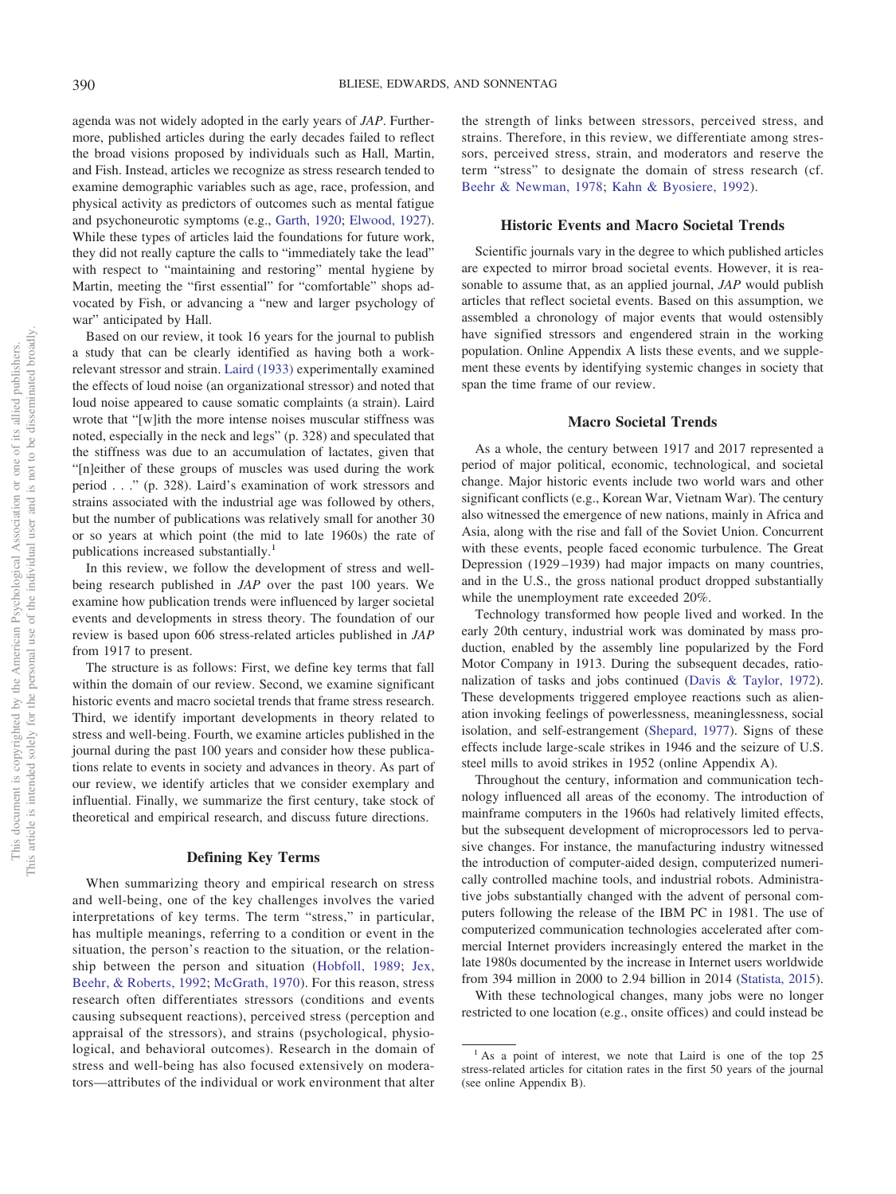agenda was not widely adopted in the early years of *JAP*. Furthermore, published articles during the early decades failed to reflect the broad visions proposed by individuals such as Hall, Martin, and Fish. Instead, articles we recognize as stress research tended to examine demographic variables such as age, race, profession, and physical activity as predictors of outcomes such as mental fatigue and psychoneurotic symptoms (e.g., [Garth, 1920;](#page-11-2) [Elwood, 1927\)](#page-11-3). While these types of articles laid the foundations for future work, they did not really capture the calls to "immediately take the lead" with respect to "maintaining and restoring" mental hygiene by Martin, meeting the "first essential" for "comfortable" shops advocated by Fish, or advancing a "new and larger psychology of war" anticipated by Hall.

Based on our review, it took 16 years for the journal to publish a study that can be clearly identified as having both a workrelevant stressor and strain. [Laird \(1933\)](#page-12-1) experimentally examined the effects of loud noise (an organizational stressor) and noted that loud noise appeared to cause somatic complaints (a strain). Laird wrote that "[w]ith the more intense noises muscular stiffness was noted, especially in the neck and legs" (p. 328) and speculated that the stiffness was due to an accumulation of lactates, given that "[n]either of these groups of muscles was used during the work period . . ." (p. 328). Laird's examination of work stressors and strains associated with the industrial age was followed by others, but the number of publications was relatively small for another 30 or so years at which point (the mid to late 1960s) the rate of publications increased substantially.<sup>1</sup>

In this review, we follow the development of stress and wellbeing research published in *JAP* over the past 100 years. We examine how publication trends were influenced by larger societal events and developments in stress theory. The foundation of our review is based upon 606 stress-related articles published in *JAP* from 1917 to present.

The structure is as follows: First, we define key terms that fall within the domain of our review. Second, we examine significant historic events and macro societal trends that frame stress research. Third, we identify important developments in theory related to stress and well-being. Fourth, we examine articles published in the journal during the past 100 years and consider how these publications relate to events in society and advances in theory. As part of our review, we identify articles that we consider exemplary and influential. Finally, we summarize the first century, take stock of theoretical and empirical research, and discuss future directions.

#### **Defining Key Terms**

When summarizing theory and empirical research on stress and well-being, one of the key challenges involves the varied interpretations of key terms. The term "stress," in particular, has multiple meanings, referring to a condition or event in the situation, the person's reaction to the situation, or the relationship between the person and situation [\(Hobfoll, 1989;](#page-11-4) [Jex,](#page-12-2) [Beehr, & Roberts, 1992;](#page-12-2) [McGrath, 1970\)](#page-12-3). For this reason, stress research often differentiates stressors (conditions and events causing subsequent reactions), perceived stress (perception and appraisal of the stressors), and strains (psychological, physiological, and behavioral outcomes). Research in the domain of stress and well-being has also focused extensively on moderators—attributes of the individual or work environment that alter

the strength of links between stressors, perceived stress, and strains. Therefore, in this review, we differentiate among stressors, perceived stress, strain, and moderators and reserve the term "stress" to designate the domain of stress research (cf. [Beehr & Newman, 1978;](#page-10-0) [Kahn & Byosiere, 1992\)](#page-12-4).

#### **Historic Events and Macro Societal Trends**

Scientific journals vary in the degree to which published articles are expected to mirror broad societal events. However, it is reasonable to assume that, as an applied journal, *JAP* would publish articles that reflect societal events. Based on this assumption, we assembled a chronology of major events that would ostensibly have signified stressors and engendered strain in the working population. Online Appendix A lists these events, and we supplement these events by identifying systemic changes in society that span the time frame of our review.

# **Macro Societal Trends**

As a whole, the century between 1917 and 2017 represented a period of major political, economic, technological, and societal change. Major historic events include two world wars and other significant conflicts (e.g., Korean War, Vietnam War). The century also witnessed the emergence of new nations, mainly in Africa and Asia, along with the rise and fall of the Soviet Union. Concurrent with these events, people faced economic turbulence. The Great Depression (1929–1939) had major impacts on many countries, and in the U.S., the gross national product dropped substantially while the unemployment rate exceeded 20%.

Technology transformed how people lived and worked. In the early 20th century, industrial work was dominated by mass production, enabled by the assembly line popularized by the Ford Motor Company in 1913. During the subsequent decades, rationalization of tasks and jobs continued [\(Davis & Taylor, 1972\)](#page-11-5). These developments triggered employee reactions such as alienation invoking feelings of powerlessness, meaninglessness, social isolation, and self-estrangement [\(Shepard, 1977\)](#page-13-0). Signs of these effects include large-scale strikes in 1946 and the seizure of U.S. steel mills to avoid strikes in 1952 (online Appendix A).

Throughout the century, information and communication technology influenced all areas of the economy. The introduction of mainframe computers in the 1960s had relatively limited effects, but the subsequent development of microprocessors led to pervasive changes. For instance, the manufacturing industry witnessed the introduction of computer-aided design, computerized numerically controlled machine tools, and industrial robots. Administrative jobs substantially changed with the advent of personal computers following the release of the IBM PC in 1981. The use of computerized communication technologies accelerated after commercial Internet providers increasingly entered the market in the late 1980s documented by the increase in Internet users worldwide from 394 million in 2000 to 2.94 billion in 2014 [\(Statista, 2015\)](#page-13-1).

With these technological changes, many jobs were no longer restricted to one location (e.g., onsite offices) and could instead be

 $<sup>1</sup>$  As a point of interest, we note that Laird is one of the top 25</sup> stress-related articles for citation rates in the first 50 years of the journal (see online Appendix B).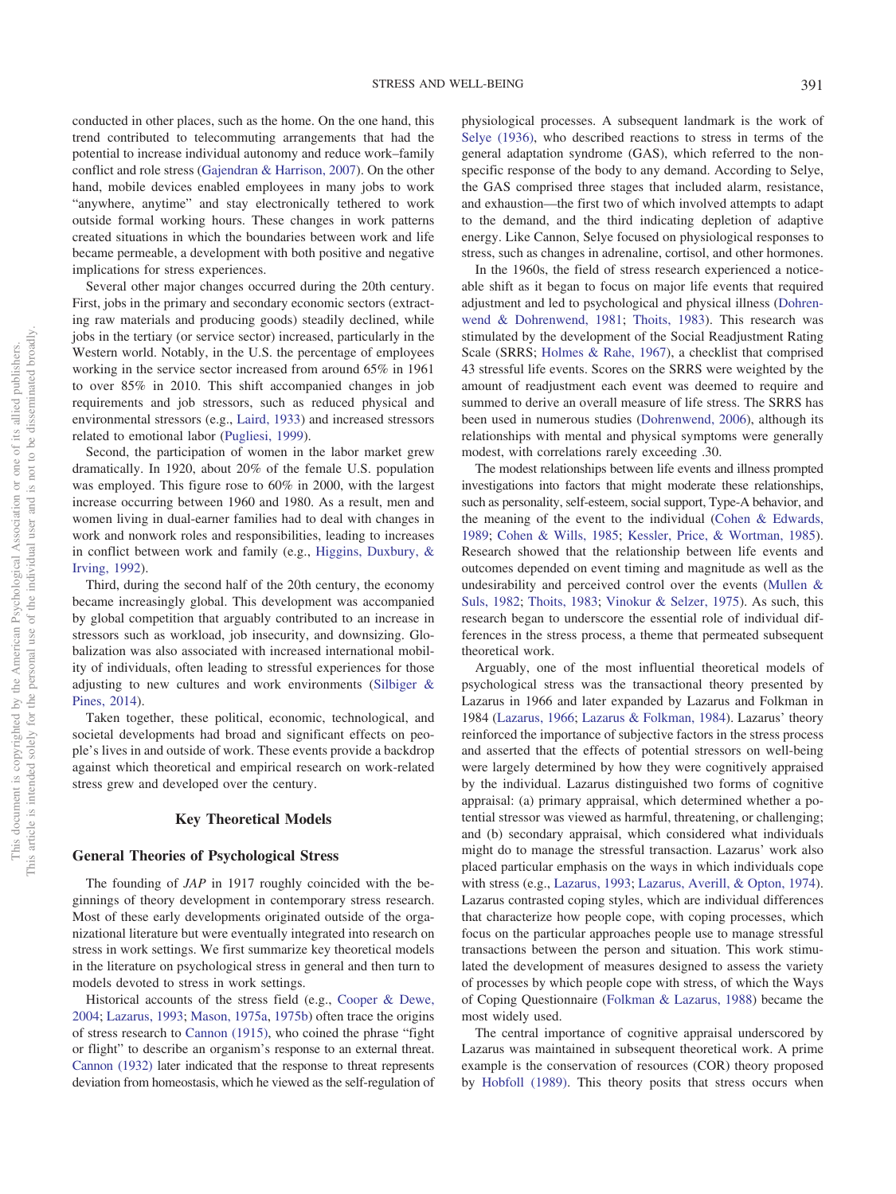conducted in other places, such as the home. On the one hand, this trend contributed to telecommuting arrangements that had the potential to increase individual autonomy and reduce work–family conflict and role stress [\(Gajendran & Harrison, 2007\)](#page-11-6). On the other hand, mobile devices enabled employees in many jobs to work "anywhere, anytime" and stay electronically tethered to work outside formal working hours. These changes in work patterns created situations in which the boundaries between work and life became permeable, a development with both positive and negative implications for stress experiences.

Several other major changes occurred during the 20th century. First, jobs in the primary and secondary economic sectors (extracting raw materials and producing goods) steadily declined, while jobs in the tertiary (or service sector) increased, particularly in the Western world. Notably, in the U.S. the percentage of employees working in the service sector increased from around 65% in 1961 to over 85% in 2010. This shift accompanied changes in job requirements and job stressors, such as reduced physical and environmental stressors (e.g., [Laird, 1933\)](#page-12-1) and increased stressors related to emotional labor [\(Pugliesi, 1999\)](#page-12-5).

Second, the participation of women in the labor market grew dramatically. In 1920, about 20% of the female U.S. population was employed. This figure rose to 60% in 2000, with the largest increase occurring between 1960 and 1980. As a result, men and women living in dual-earner families had to deal with changes in work and nonwork roles and responsibilities, leading to increases in conflict between work and family (e.g., [Higgins, Duxbury, &](#page-11-7) [Irving, 1992\)](#page-11-7).

Third, during the second half of the 20th century, the economy became increasingly global. This development was accompanied by global competition that arguably contributed to an increase in stressors such as workload, job insecurity, and downsizing. Globalization was also associated with increased international mobility of individuals, often leading to stressful experiences for those adjusting to new cultures and work environments [\(Silbiger &](#page-13-2) [Pines, 2014\)](#page-13-2).

Taken together, these political, economic, technological, and societal developments had broad and significant effects on people's lives in and outside of work. These events provide a backdrop against which theoretical and empirical research on work-related stress grew and developed over the century.

# **Key Theoretical Models**

# **General Theories of Psychological Stress**

The founding of *JAP* in 1917 roughly coincided with the beginnings of theory development in contemporary stress research. Most of these early developments originated outside of the organizational literature but were eventually integrated into research on stress in work settings. We first summarize key theoretical models in the literature on psychological stress in general and then turn to models devoted to stress in work settings.

Historical accounts of the stress field (e.g., [Cooper & Dewe,](#page-11-8) [2004;](#page-11-8) [Lazarus, 1993;](#page-12-6) [Mason, 1975a,](#page-12-7) [1975b\)](#page-12-8) often trace the origins of stress research to [Cannon \(1915\),](#page-10-1) who coined the phrase "fight or flight" to describe an organism's response to an external threat. [Cannon \(1932\)](#page-10-2) later indicated that the response to threat represents deviation from homeostasis, which he viewed as the self-regulation of

physiological processes. A subsequent landmark is the work of [Selye \(1936\),](#page-13-3) who described reactions to stress in terms of the general adaptation syndrome (GAS), which referred to the nonspecific response of the body to any demand. According to Selye, the GAS comprised three stages that included alarm, resistance, and exhaustion—the first two of which involved attempts to adapt to the demand, and the third indicating depletion of adaptive energy. Like Cannon, Selye focused on physiological responses to stress, such as changes in adrenaline, cortisol, and other hormones.

In the 1960s, the field of stress research experienced a noticeable shift as it began to focus on major life events that required adjustment and led to psychological and physical illness [\(Dohren](#page-11-9)[wend & Dohrenwend, 1981;](#page-11-9) [Thoits, 1983\)](#page-13-4). This research was stimulated by the development of the Social Readjustment Rating Scale (SRRS; [Holmes & Rahe, 1967\)](#page-12-9), a checklist that comprised 43 stressful life events. Scores on the SRRS were weighted by the amount of readjustment each event was deemed to require and summed to derive an overall measure of life stress. The SRRS has been used in numerous studies [\(Dohrenwend, 2006\)](#page-11-10), although its relationships with mental and physical symptoms were generally modest, with correlations rarely exceeding .30.

The modest relationships between life events and illness prompted investigations into factors that might moderate these relationships, such as personality, self-esteem, social support, Type-A behavior, and the meaning of the event to the individual [\(Cohen & Edwards,](#page-10-3) [1989;](#page-10-3) [Cohen & Wills, 1985;](#page-10-4) [Kessler, Price, & Wortman, 1985\)](#page-12-10). Research showed that the relationship between life events and outcomes depended on event timing and magnitude as well as the undesirability and perceived control over the events [\(Mullen &](#page-12-11) [Suls, 1982;](#page-12-11) [Thoits, 1983;](#page-13-4) [Vinokur & Selzer, 1975\)](#page-13-5). As such, this research began to underscore the essential role of individual differences in the stress process, a theme that permeated subsequent theoretical work.

Arguably, one of the most influential theoretical models of psychological stress was the transactional theory presented by Lazarus in 1966 and later expanded by Lazarus and Folkman in 1984 [\(Lazarus, 1966;](#page-12-12) [Lazarus & Folkman, 1984\)](#page-12-13). Lazarus' theory reinforced the importance of subjective factors in the stress process and asserted that the effects of potential stressors on well-being were largely determined by how they were cognitively appraised by the individual. Lazarus distinguished two forms of cognitive appraisal: (a) primary appraisal, which determined whether a potential stressor was viewed as harmful, threatening, or challenging; and (b) secondary appraisal, which considered what individuals might do to manage the stressful transaction. Lazarus' work also placed particular emphasis on the ways in which individuals cope with stress (e.g., [Lazarus, 1993;](#page-12-6) [Lazarus, Averill, & Opton, 1974\)](#page-12-14). Lazarus contrasted coping styles, which are individual differences that characterize how people cope, with coping processes, which focus on the particular approaches people use to manage stressful transactions between the person and situation. This work stimulated the development of measures designed to assess the variety of processes by which people cope with stress, of which the Ways of Coping Questionnaire [\(Folkman & Lazarus, 1988\)](#page-11-11) became the most widely used.

The central importance of cognitive appraisal underscored by Lazarus was maintained in subsequent theoretical work. A prime example is the conservation of resources (COR) theory proposed by [Hobfoll \(1989\).](#page-11-4) This theory posits that stress occurs when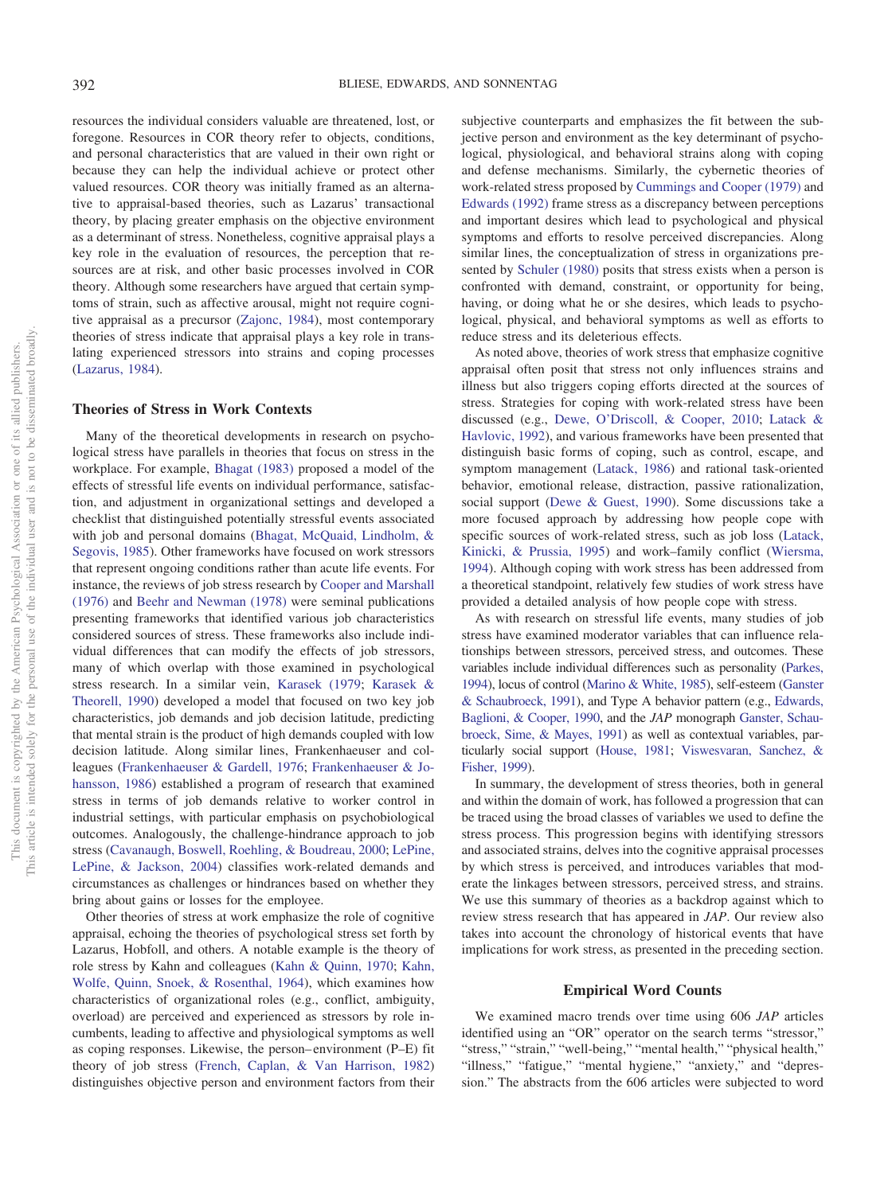resources the individual considers valuable are threatened, lost, or foregone. Resources in COR theory refer to objects, conditions, and personal characteristics that are valued in their own right or because they can help the individual achieve or protect other valued resources. COR theory was initially framed as an alternative to appraisal-based theories, such as Lazarus' transactional theory, by placing greater emphasis on the objective environment as a determinant of stress. Nonetheless, cognitive appraisal plays a key role in the evaluation of resources, the perception that resources are at risk, and other basic processes involved in COR theory. Although some researchers have argued that certain symptoms of strain, such as affective arousal, might not require cognitive appraisal as a precursor [\(Zajonc, 1984\)](#page-13-6), most contemporary theories of stress indicate that appraisal plays a key role in translating experienced stressors into strains and coping processes [\(Lazarus, 1984\)](#page-12-15).

# **Theories of Stress in Work Contexts**

Many of the theoretical developments in research on psychological stress have parallels in theories that focus on stress in the workplace. For example, [Bhagat \(1983\)](#page-10-5) proposed a model of the effects of stressful life events on individual performance, satisfaction, and adjustment in organizational settings and developed a checklist that distinguished potentially stressful events associated with job and personal domains [\(Bhagat, McQuaid, Lindholm, &](#page-10-6) [Segovis, 1985\)](#page-10-6). Other frameworks have focused on work stressors that represent ongoing conditions rather than acute life events. For instance, the reviews of job stress research by [Cooper and Marshall](#page-11-12) [\(1976\)](#page-11-12) and [Beehr and Newman \(1978\)](#page-10-0) were seminal publications presenting frameworks that identified various job characteristics considered sources of stress. These frameworks also include individual differences that can modify the effects of job stressors, many of which overlap with those examined in psychological stress research. In a similar vein, [Karasek \(1979;](#page-12-16) [Karasek &](#page-12-17) [Theorell, 1990\)](#page-12-17) developed a model that focused on two key job characteristics, job demands and job decision latitude, predicting that mental strain is the product of high demands coupled with low decision latitude. Along similar lines, Frankenhaeuser and colleagues [\(Frankenhaeuser & Gardell, 1976;](#page-11-13) [Frankenhaeuser & Jo](#page-11-14)[hansson, 1986\)](#page-11-14) established a program of research that examined stress in terms of job demands relative to worker control in industrial settings, with particular emphasis on psychobiological outcomes. Analogously, the challenge-hindrance approach to job stress [\(Cavanaugh, Boswell, Roehling, & Boudreau, 2000;](#page-10-7) [LePine,](#page-12-18) [LePine, & Jackson, 2004\)](#page-12-18) classifies work-related demands and circumstances as challenges or hindrances based on whether they bring about gains or losses for the employee.

Other theories of stress at work emphasize the role of cognitive appraisal, echoing the theories of psychological stress set forth by Lazarus, Hobfoll, and others. A notable example is the theory of role stress by Kahn and colleagues [\(Kahn & Quinn, 1970;](#page-12-19) [Kahn,](#page-12-20) [Wolfe, Quinn, Snoek, & Rosenthal, 1964\)](#page-12-20), which examines how characteristics of organizational roles (e.g., conflict, ambiguity, overload) are perceived and experienced as stressors by role incumbents, leading to affective and physiological symptoms as well as coping responses. Likewise, the person– environment (P–E) fit theory of job stress [\(French, Caplan, & Van Harrison, 1982\)](#page-11-15) distinguishes objective person and environment factors from their

subjective counterparts and emphasizes the fit between the subjective person and environment as the key determinant of psychological, physiological, and behavioral strains along with coping and defense mechanisms. Similarly, the cybernetic theories of work-related stress proposed by [Cummings and Cooper \(1979\)](#page-11-16) and [Edwards \(1992\)](#page-11-17) frame stress as a discrepancy between perceptions and important desires which lead to psychological and physical symptoms and efforts to resolve perceived discrepancies. Along similar lines, the conceptualization of stress in organizations presented by [Schuler \(1980\)](#page-13-7) posits that stress exists when a person is confronted with demand, constraint, or opportunity for being, having, or doing what he or she desires, which leads to psychological, physical, and behavioral symptoms as well as efforts to reduce stress and its deleterious effects.

As noted above, theories of work stress that emphasize cognitive appraisal often posit that stress not only influences strains and illness but also triggers coping efforts directed at the sources of stress. Strategies for coping with work-related stress have been discussed (e.g., [Dewe, O'Driscoll, & Cooper, 2010;](#page-11-18) [Latack &](#page-12-21) [Havlovic, 1992\)](#page-12-21), and various frameworks have been presented that distinguish basic forms of coping, such as control, escape, and symptom management [\(Latack, 1986\)](#page-12-22) and rational task-oriented behavior, emotional release, distraction, passive rationalization, social support [\(Dewe & Guest, 1990\)](#page-11-19). Some discussions take a more focused approach by addressing how people cope with specific sources of work-related stress, such as job loss [\(Latack,](#page-12-23) [Kinicki, & Prussia, 1995\)](#page-12-23) and work–family conflict [\(Wiersma,](#page-13-8) [1994\)](#page-13-8). Although coping with work stress has been addressed from a theoretical standpoint, relatively few studies of work stress have provided a detailed analysis of how people cope with stress.

As with research on stressful life events, many studies of job stress have examined moderator variables that can influence relationships between stressors, perceived stress, and outcomes. These variables include individual differences such as personality [\(Parkes,](#page-12-24) [1994\)](#page-12-24), locus of control [\(Marino & White, 1985\)](#page-12-25), self-esteem [\(Ganster](#page-11-20) [& Schaubroeck, 1991\)](#page-11-20), and Type A behavior pattern (e.g., [Edwards,](#page-11-21) [Baglioni, & Cooper, 1990,](#page-11-21) and the *JAP* monograph [Ganster, Schau](#page-11-22)[broeck, Sime, & Mayes, 1991\)](#page-11-22) as well as contextual variables, particularly social support [\(House, 1981;](#page-12-26) [Viswesvaran, Sanchez, &](#page-13-9) [Fisher, 1999\)](#page-13-9).

In summary, the development of stress theories, both in general and within the domain of work, has followed a progression that can be traced using the broad classes of variables we used to define the stress process. This progression begins with identifying stressors and associated strains, delves into the cognitive appraisal processes by which stress is perceived, and introduces variables that moderate the linkages between stressors, perceived stress, and strains. We use this summary of theories as a backdrop against which to review stress research that has appeared in *JAP*. Our review also takes into account the chronology of historical events that have implications for work stress, as presented in the preceding section.

#### **Empirical Word Counts**

We examined macro trends over time using 606 *JAP* articles identified using an "OR" operator on the search terms "stressor," "stress," "strain," "well-being," "mental health," "physical health," "illness," "fatigue," "mental hygiene," "anxiety," and "depression." The abstracts from the 606 articles were subjected to word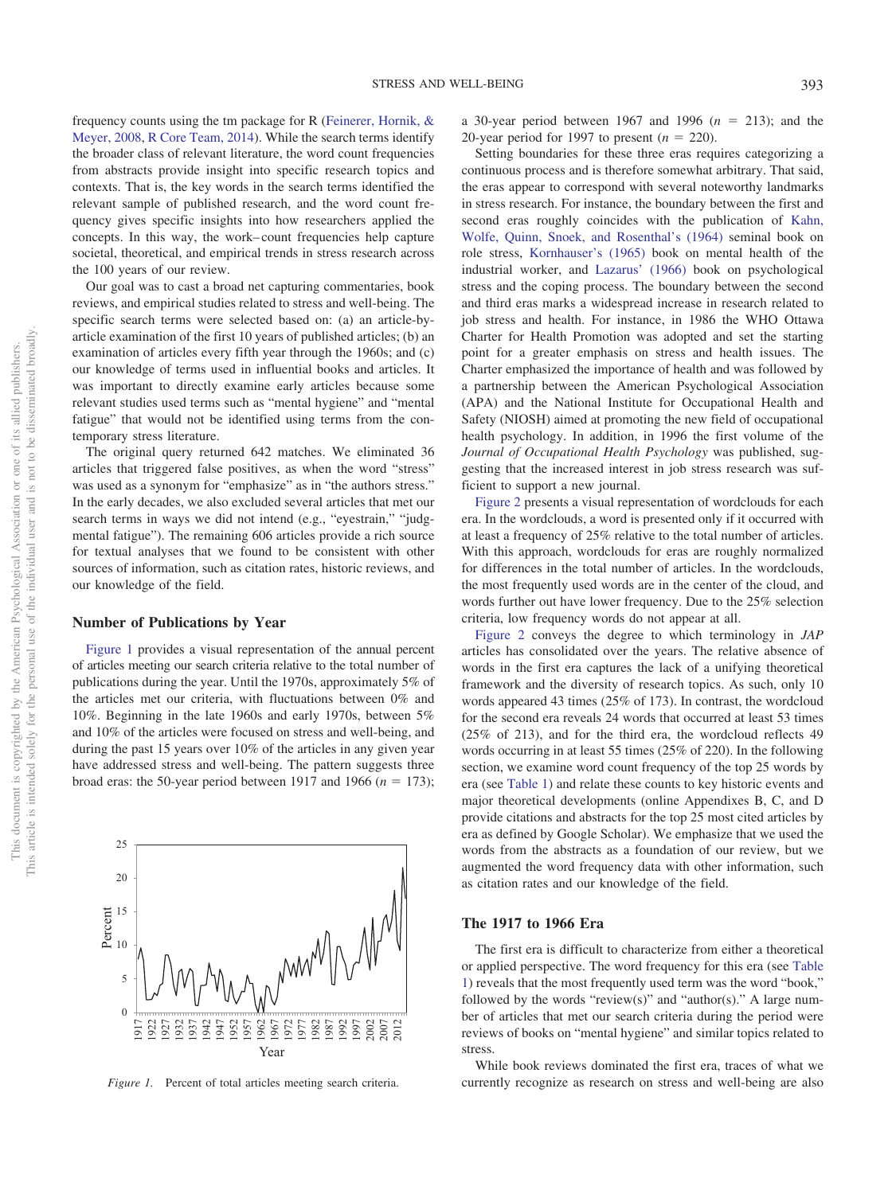frequency counts using the tm package for R [\(Feinerer, Hornik, &](#page-11-23) [Meyer, 2008,](#page-11-23) [R Core Team, 2014\)](#page-12-27). While the search terms identify the broader class of relevant literature, the word count frequencies from abstracts provide insight into specific research topics and contexts. That is, the key words in the search terms identified the relevant sample of published research, and the word count frequency gives specific insights into how researchers applied the concepts. In this way, the work– count frequencies help capture societal, theoretical, and empirical trends in stress research across the 100 years of our review.

Our goal was to cast a broad net capturing commentaries, book reviews, and empirical studies related to stress and well-being. The specific search terms were selected based on: (a) an article-byarticle examination of the first 10 years of published articles; (b) an examination of articles every fifth year through the 1960s; and (c) our knowledge of terms used in influential books and articles. It was important to directly examine early articles because some relevant studies used terms such as "mental hygiene" and "mental fatigue" that would not be identified using terms from the contemporary stress literature.

The original query returned 642 matches. We eliminated 36 articles that triggered false positives, as when the word "stress" was used as a synonym for "emphasize" as in "the authors stress." In the early decades, we also excluded several articles that met our search terms in ways we did not intend (e.g., "eyestrain," "judgmental fatigue"). The remaining 606 articles provide a rich source for textual analyses that we found to be consistent with other sources of information, such as citation rates, historic reviews, and our knowledge of the field.

## **Number of Publications by Year**

[Figure 1](#page-4-0) provides a visual representation of the annual percent of articles meeting our search criteria relative to the total number of publications during the year. Until the 1970s, approximately 5% of the articles met our criteria, with fluctuations between 0% and 10%. Beginning in the late 1960s and early 1970s, between 5% and 10% of the articles were focused on stress and well-being, and during the past 15 years over 10% of the articles in any given year have addressed stress and well-being. The pattern suggests three broad eras: the 50-year period between 1917 and 1966  $(n = 173)$ ;

<span id="page-4-0"></span>*Figure 1.* Percent of total articles meeting search criteria.

a 30-year period between 1967 and 1996  $(n = 213)$ ; and the 20-year period for 1997 to present  $(n = 220)$ .

Setting boundaries for these three eras requires categorizing a continuous process and is therefore somewhat arbitrary. That said, the eras appear to correspond with several noteworthy landmarks in stress research. For instance, the boundary between the first and second eras roughly coincides with the publication of [Kahn,](#page-12-20) [Wolfe, Quinn, Snoek, and Rosenthal's \(1964\)](#page-12-20) seminal book on role stress, [Kornhauser's \(1965\)](#page-12-28) book on mental health of the industrial worker, and [Lazarus' \(1966\)](#page-12-12) book on psychological stress and the coping process. The boundary between the second and third eras marks a widespread increase in research related to job stress and health. For instance, in 1986 the WHO Ottawa Charter for Health Promotion was adopted and set the starting point for a greater emphasis on stress and health issues. The Charter emphasized the importance of health and was followed by a partnership between the American Psychological Association (APA) and the National Institute for Occupational Health and Safety (NIOSH) aimed at promoting the new field of occupational health psychology. In addition, in 1996 the first volume of the *Journal of Occupational Health Psychology* was published, suggesting that the increased interest in job stress research was sufficient to support a new journal.

[Figure 2](#page-5-0) presents a visual representation of wordclouds for each era. In the wordclouds, a word is presented only if it occurred with at least a frequency of 25% relative to the total number of articles. With this approach, wordclouds for eras are roughly normalized for differences in the total number of articles. In the wordclouds, the most frequently used words are in the center of the cloud, and words further out have lower frequency. Due to the 25% selection criteria, low frequency words do not appear at all.

[Figure 2](#page-5-0) conveys the degree to which terminology in *JAP* articles has consolidated over the years. The relative absence of words in the first era captures the lack of a unifying theoretical framework and the diversity of research topics. As such, only 10 words appeared 43 times (25% of 173). In contrast, the wordcloud for the second era reveals 24 words that occurred at least 53 times (25% of 213), and for the third era, the wordcloud reflects 49 words occurring in at least 55 times (25% of 220). In the following section, we examine word count frequency of the top 25 words by era (see [Table 1\)](#page-5-1) and relate these counts to key historic events and major theoretical developments (online Appendixes B, C, and D provide citations and abstracts for the top 25 most cited articles by era as defined by Google Scholar). We emphasize that we used the words from the abstracts as a foundation of our review, but we augmented the word frequency data with other information, such as citation rates and our knowledge of the field.

#### **The 1917 to 1966 Era**

The first era is difficult to characterize from either a theoretical or applied perspective. The word frequency for this era (see [Table](#page-5-1) [1\)](#page-5-1) reveals that the most frequently used term was the word "book," followed by the words "review(s)" and "author(s)." A large number of articles that met our search criteria during the period were reviews of books on "mental hygiene" and similar topics related to stress.

While book reviews dominated the first era, traces of what we currently recognize as research on stress and well-being are also

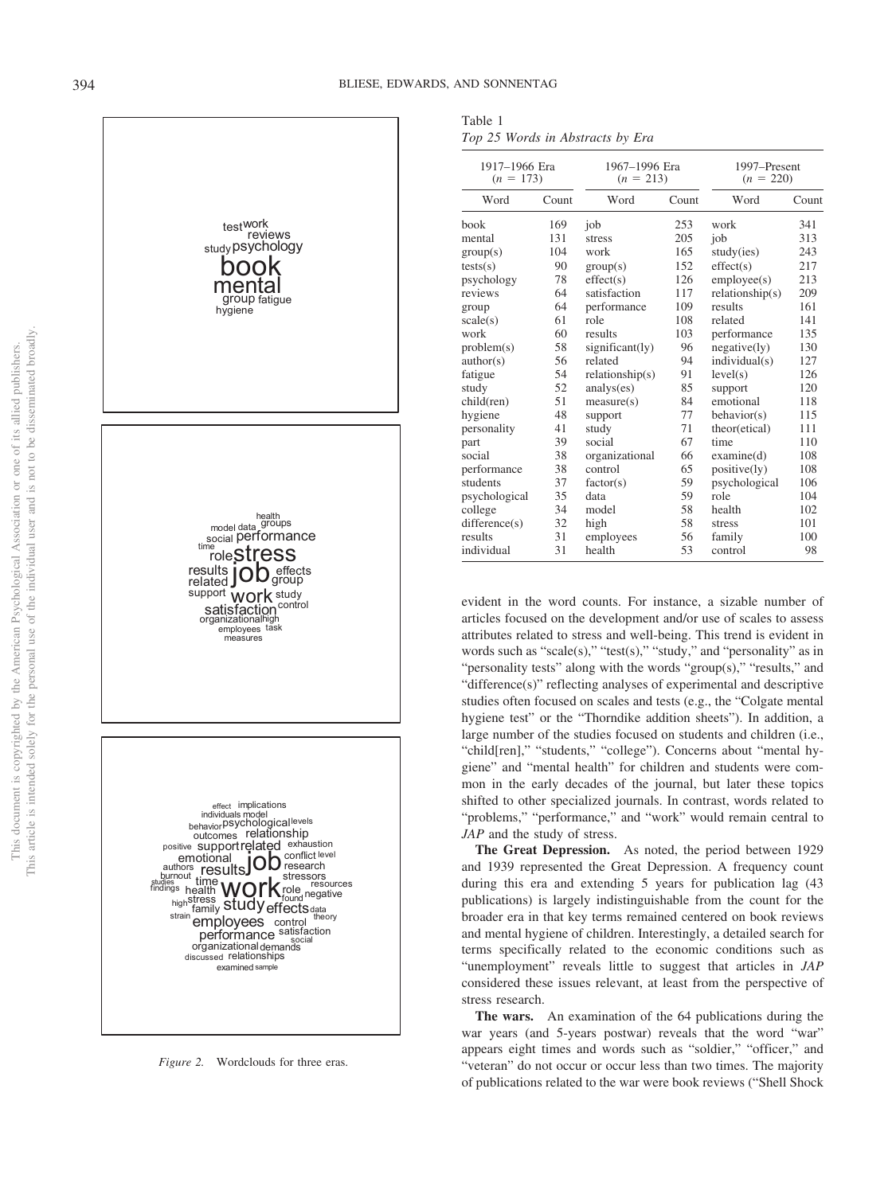

*Figure 2.* Wordclouds for three eras.

<span id="page-5-1"></span>

| Table 1 |  |                                  |  |
|---------|--|----------------------------------|--|
|         |  | Top 25 Words in Abstracts by Era |  |

| x                            |       |                              |       |                             |       |
|------------------------------|-------|------------------------------|-------|-----------------------------|-------|
| 1917-1966 Era<br>$(n = 173)$ |       | 1967-1996 Era<br>$(n = 213)$ |       | 1997-Present<br>$(n = 220)$ |       |
| Word                         | Count | Word                         | Count | Word                        | Count |
| book                         | 169   | job                          | 253   | work                        | 341   |
| mental                       | 131   | stress                       | 205   | job                         | 313   |
| group(s)                     | 104   | work                         | 165   | study(ies)                  | 243   |
| tests(s)                     | 90    | group(s)                     | 152   | effect(s)                   | 217   |
| psychology                   | 78    | effect(s)                    | 126   | employee(s)                 | 213   |
| reviews                      | 64    | satisfaction                 | 117   | relationship(s)             | 209   |
| group                        | 64    | performance                  | 109   | results                     | 161   |
| scale(s)                     | 61    | role                         | 108   | related                     | 141   |
| work                         | 60    | results                      | 103   | performance                 | 135   |
| problem(s)                   | 58    | significant(ly)              | 96    | negative(ly)                | 130   |
| author(s)                    | 56    | related                      | 94    | individual(s)               | 127   |
| fatigue                      | 54    | relationship(s)              | 91    | level(s)                    | 126   |
| study                        | 52    | analysis(es)                 | 85    | support                     | 120   |
| child(ren)                   | 51    | measure(s)                   | 84    | emotional                   | 118   |
| hygiene                      | 48    | support                      | 77    | behavior(s)                 | 115   |
| personality                  | 41    | study                        | 71    | theor(etical)               | 111   |
| part                         | 39    | social                       | 67    | time                        | 110   |
| social                       | 38    | organizational               | 66    | examine(d)                  | 108   |
| performance                  | 38    | control                      | 65    | positive(ly)                | 108   |
| students                     | 37    | factor(s)                    | 59    | psychological               | 106   |
| psychological                | 35    | data                         | 59    | role                        | 104   |
| college                      | 34    | model                        | 58    | health                      | 102   |
| difference(s)                | 32    | high                         | 58    | stress                      | 101   |
| results                      | 31    | employees                    | 56    | family                      | 100   |
| individual                   | 31    | health                       | 53    | control                     | 98    |

evident in the word counts. For instance, a sizable number of articles focused on the development and/or use of scales to assess attributes related to stress and well-being. This trend is evident in words such as "scale(s)," "test(s)," "study," and "personality" as in "personality tests" along with the words "group(s)," "results," and "difference(s)" reflecting analyses of experimental and descriptive studies often focused on scales and tests (e.g., the "Colgate mental hygiene test" or the "Thorndike addition sheets"). In addition, a large number of the studies focused on students and children (i.e., "child[ren]," "students," "college"). Concerns about "mental hygiene" and "mental health" for children and students were common in the early decades of the journal, but later these topics shifted to other specialized journals. In contrast, words related to "problems," "performance," and "work" would remain central to *JAP* and the study of stress.

**The Great Depression.** As noted, the period between 1929 and 1939 represented the Great Depression. A frequency count during this era and extending 5 years for publication lag (43 publications) is largely indistinguishable from the count for the broader era in that key terms remained centered on book reviews and mental hygiene of children. Interestingly, a detailed search for terms specifically related to the economic conditions such as "unemployment" reveals little to suggest that articles in *JAP* considered these issues relevant, at least from the perspective of stress research.

<span id="page-5-0"></span>**The wars.** An examination of the 64 publications during the war years (and 5-years postwar) reveals that the word "war" appears eight times and words such as "soldier," "officer," and "veteran" do not occur or occur less than two times. The majority of publications related to the war were book reviews ("Shell Shock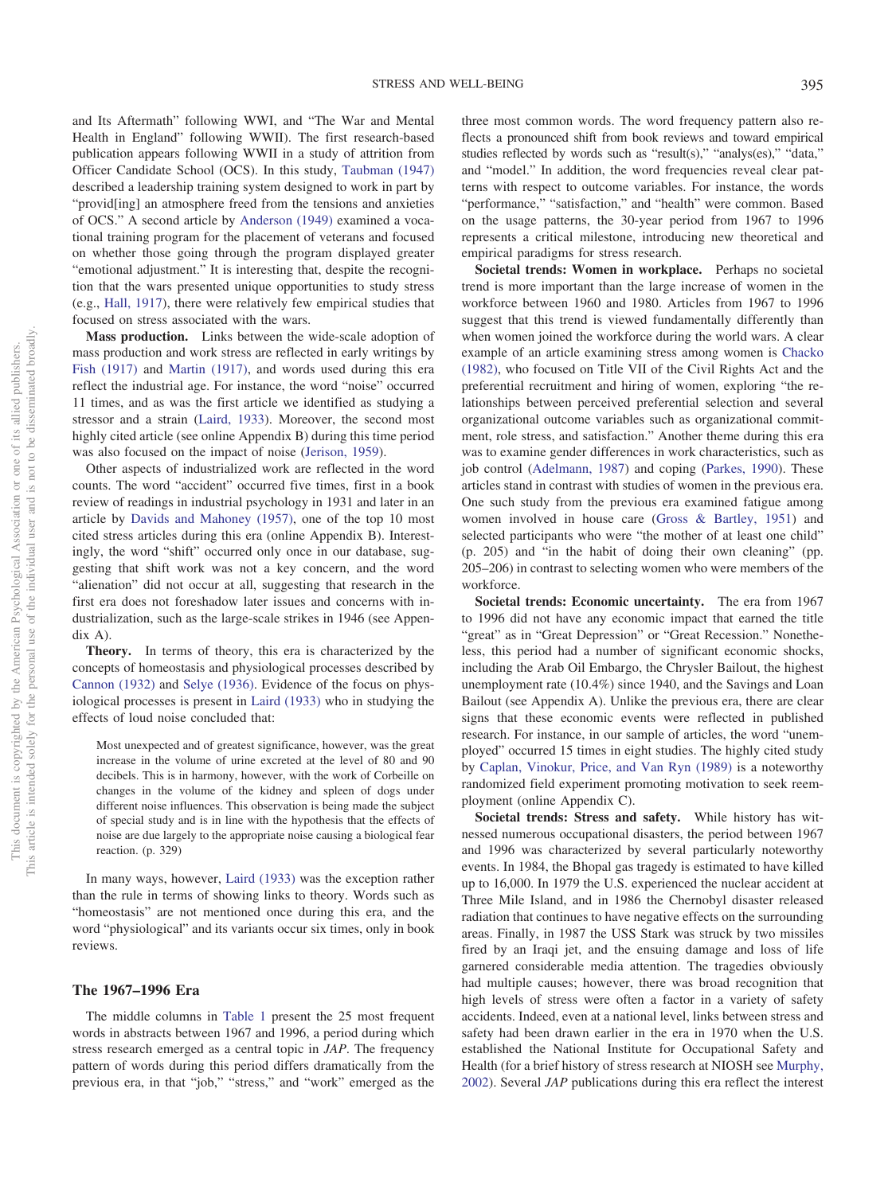and Its Aftermath" following WWI, and "The War and Mental Health in England" following WWII). The first research-based publication appears following WWII in a study of attrition from Officer Candidate School (OCS). In this study, [Taubman \(1947\)](#page-13-10) described a leadership training system designed to work in part by "provid[ing] an atmosphere freed from the tensions and anxieties of OCS." A second article by [Anderson \(1949\)](#page-10-8) examined a vocational training program for the placement of veterans and focused on whether those going through the program displayed greater "emotional adjustment." It is interesting that, despite the recognition that the wars presented unique opportunities to study stress (e.g., [Hall, 1917\)](#page-11-1), there were relatively few empirical studies that focused on stress associated with the wars.

**Mass production.** Links between the wide-scale adoption of mass production and work stress are reflected in early writings by [Fish \(1917\)](#page-11-0) and [Martin \(1917\),](#page-12-0) and words used during this era reflect the industrial age. For instance, the word "noise" occurred 11 times, and as was the first article we identified as studying a stressor and a strain [\(Laird, 1933\)](#page-12-1). Moreover, the second most highly cited article (see online Appendix B) during this time period was also focused on the impact of noise [\(Jerison, 1959\)](#page-12-29).

Other aspects of industrialized work are reflected in the word counts. The word "accident" occurred five times, first in a book review of readings in industrial psychology in 1931 and later in an article by [Davids and Mahoney \(1957\),](#page-11-24) one of the top 10 most cited stress articles during this era (online Appendix B). Interestingly, the word "shift" occurred only once in our database, suggesting that shift work was not a key concern, and the word "alienation" did not occur at all, suggesting that research in the first era does not foreshadow later issues and concerns with industrialization, such as the large-scale strikes in 1946 (see Appendix A).

**Theory.** In terms of theory, this era is characterized by the concepts of homeostasis and physiological processes described by [Cannon \(1932\)](#page-10-2) and [Selye \(1936\).](#page-13-3) Evidence of the focus on physiological processes is present in [Laird \(1933\)](#page-12-1) who in studying the effects of loud noise concluded that:

Most unexpected and of greatest significance, however, was the great increase in the volume of urine excreted at the level of 80 and 90 decibels. This is in harmony, however, with the work of Corbeille on changes in the volume of the kidney and spleen of dogs under different noise influences. This observation is being made the subject of special study and is in line with the hypothesis that the effects of noise are due largely to the appropriate noise causing a biological fear reaction. (p. 329)

In many ways, however, [Laird \(1933\)](#page-12-1) was the exception rather than the rule in terms of showing links to theory. Words such as "homeostasis" are not mentioned once during this era, and the word "physiological" and its variants occur six times, only in book reviews.

#### **The 1967–1996 Era**

The middle columns in [Table 1](#page-5-1) present the 25 most frequent words in abstracts between 1967 and 1996, a period during which stress research emerged as a central topic in *JAP*. The frequency pattern of words during this period differs dramatically from the previous era, in that "job," "stress," and "work" emerged as the three most common words. The word frequency pattern also reflects a pronounced shift from book reviews and toward empirical studies reflected by words such as "result(s)," "analys(es)," "data," and "model." In addition, the word frequencies reveal clear patterns with respect to outcome variables. For instance, the words "performance," "satisfaction," and "health" were common. Based on the usage patterns, the 30-year period from 1967 to 1996 represents a critical milestone, introducing new theoretical and empirical paradigms for stress research.

**Societal trends: Women in workplace.** Perhaps no societal trend is more important than the large increase of women in the workforce between 1960 and 1980. Articles from 1967 to 1996 suggest that this trend is viewed fundamentally differently than when women joined the workforce during the world wars. A clear example of an article examining stress among women is [Chacko](#page-10-9) [\(1982\),](#page-10-9) who focused on Title VII of the Civil Rights Act and the preferential recruitment and hiring of women, exploring "the relationships between perceived preferential selection and several organizational outcome variables such as organizational commitment, role stress, and satisfaction." Another theme during this era was to examine gender differences in work characteristics, such as job control [\(Adelmann, 1987\)](#page-10-10) and coping [\(Parkes, 1990\)](#page-12-30). These articles stand in contrast with studies of women in the previous era. One such study from the previous era examined fatigue among women involved in house care [\(Gross & Bartley, 1951\)](#page-11-25) and selected participants who were "the mother of at least one child" (p. 205) and "in the habit of doing their own cleaning" (pp. 205–206) in contrast to selecting women who were members of the workforce.

**Societal trends: Economic uncertainty.** The era from 1967 to 1996 did not have any economic impact that earned the title "great" as in "Great Depression" or "Great Recession." Nonetheless, this period had a number of significant economic shocks, including the Arab Oil Embargo, the Chrysler Bailout, the highest unemployment rate (10.4%) since 1940, and the Savings and Loan Bailout (see Appendix A). Unlike the previous era, there are clear signs that these economic events were reflected in published research. For instance, in our sample of articles, the word "unemployed" occurred 15 times in eight studies. The highly cited study by [Caplan, Vinokur, Price, and Van Ryn \(1989\)](#page-10-11) is a noteworthy randomized field experiment promoting motivation to seek reemployment (online Appendix C).

**Societal trends: Stress and safety.** While history has witnessed numerous occupational disasters, the period between 1967 and 1996 was characterized by several particularly noteworthy events. In 1984, the Bhopal gas tragedy is estimated to have killed up to 16,000. In 1979 the U.S. experienced the nuclear accident at Three Mile Island, and in 1986 the Chernobyl disaster released radiation that continues to have negative effects on the surrounding areas. Finally, in 1987 the USS Stark was struck by two missiles fired by an Iraqi jet, and the ensuing damage and loss of life garnered considerable media attention. The tragedies obviously had multiple causes; however, there was broad recognition that high levels of stress were often a factor in a variety of safety accidents. Indeed, even at a national level, links between stress and safety had been drawn earlier in the era in 1970 when the U.S. established the National Institute for Occupational Safety and Health (for a brief history of stress research at NIOSH see [Murphy,](#page-12-31) [2002\)](#page-12-31). Several *JAP* publications during this era reflect the interest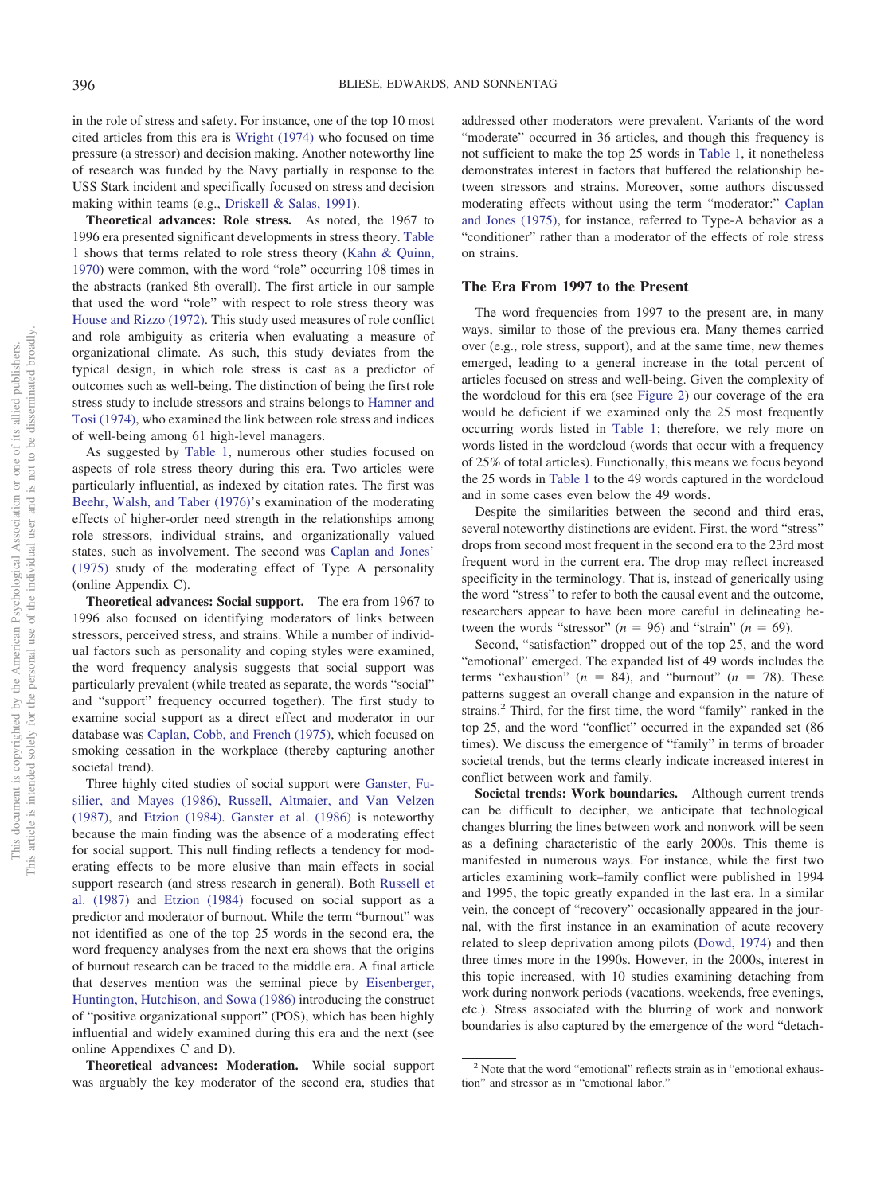in the role of stress and safety. For instance, one of the top 10 most cited articles from this era is [Wright \(1974\)](#page-13-11) who focused on time pressure (a stressor) and decision making. Another noteworthy line of research was funded by the Navy partially in response to the USS Stark incident and specifically focused on stress and decision making within teams (e.g., [Driskell & Salas, 1991\)](#page-11-26).

**Theoretical advances: Role stress.** As noted, the 1967 to 1996 era presented significant developments in stress theory. [Table](#page-5-1) [1](#page-5-1) shows that terms related to role stress theory [\(Kahn & Quinn,](#page-12-19) [1970\)](#page-12-19) were common, with the word "role" occurring 108 times in the abstracts (ranked 8th overall). The first article in our sample that used the word "role" with respect to role stress theory was [House and Rizzo \(1972\).](#page-12-32) This study used measures of role conflict and role ambiguity as criteria when evaluating a measure of organizational climate. As such, this study deviates from the typical design, in which role stress is cast as a predictor of outcomes such as well-being. The distinction of being the first role stress study to include stressors and strains belongs to [Hamner and](#page-11-27) [Tosi \(1974\),](#page-11-27) who examined the link between role stress and indices of well-being among 61 high-level managers.

As suggested by [Table 1,](#page-5-1) numerous other studies focused on aspects of role stress theory during this era. Two articles were particularly influential, as indexed by citation rates. The first was [Beehr, Walsh, and Taber \(1976\)'](#page-10-12)s examination of the moderating effects of higher-order need strength in the relationships among role stressors, individual strains, and organizationally valued states, such as involvement. The second was [Caplan and Jones'](#page-10-13) [\(1975\)](#page-10-13) study of the moderating effect of Type A personality (online Appendix C).

**Theoretical advances: Social support.** The era from 1967 to 1996 also focused on identifying moderators of links between stressors, perceived stress, and strains. While a number of individual factors such as personality and coping styles were examined, the word frequency analysis suggests that social support was particularly prevalent (while treated as separate, the words "social" and "support" frequency occurred together). The first study to examine social support as a direct effect and moderator in our database was [Caplan, Cobb, and French \(1975\),](#page-10-14) which focused on smoking cessation in the workplace (thereby capturing another societal trend).

Three highly cited studies of social support were [Ganster, Fu](#page-11-28)[silier, and Mayes \(1986\),](#page-11-28) [Russell, Altmaier, and Van Velzen](#page-13-12) [\(1987\),](#page-13-12) and [Etzion \(1984\).](#page-11-29) [Ganster et al. \(1986\)](#page-11-28) is noteworthy because the main finding was the absence of a moderating effect for social support. This null finding reflects a tendency for moderating effects to be more elusive than main effects in social support research (and stress research in general). Both [Russell et](#page-13-12) [al. \(1987\)](#page-13-12) and [Etzion \(1984\)](#page-11-29) focused on social support as a predictor and moderator of burnout. While the term "burnout" was not identified as one of the top 25 words in the second era, the word frequency analyses from the next era shows that the origins of burnout research can be traced to the middle era. A final article that deserves mention was the seminal piece by [Eisenberger,](#page-11-30) [Huntington, Hutchison, and Sowa \(1986\)](#page-11-30) introducing the construct of "positive organizational support" (POS), which has been highly influential and widely examined during this era and the next (see online Appendixes C and D).

**Theoretical advances: Moderation.** While social support was arguably the key moderator of the second era, studies that addressed other moderators were prevalent. Variants of the word "moderate" occurred in 36 articles, and though this frequency is not sufficient to make the top 25 words in [Table 1,](#page-5-1) it nonetheless demonstrates interest in factors that buffered the relationship between stressors and strains. Moreover, some authors discussed moderating effects without using the term "moderator:" [Caplan](#page-10-13) [and Jones \(1975\),](#page-10-13) for instance, referred to Type-A behavior as a "conditioner" rather than a moderator of the effects of role stress on strains.

# **The Era From 1997 to the Present**

The word frequencies from 1997 to the present are, in many ways, similar to those of the previous era. Many themes carried over (e.g., role stress, support), and at the same time, new themes emerged, leading to a general increase in the total percent of articles focused on stress and well-being. Given the complexity of the wordcloud for this era (see [Figure 2\)](#page-5-0) our coverage of the era would be deficient if we examined only the 25 most frequently occurring words listed in [Table 1;](#page-5-1) therefore, we rely more on words listed in the wordcloud (words that occur with a frequency of 25% of total articles). Functionally, this means we focus beyond the 25 words in [Table 1](#page-5-1) to the 49 words captured in the wordcloud and in some cases even below the 49 words.

Despite the similarities between the second and third eras, several noteworthy distinctions are evident. First, the word "stress" drops from second most frequent in the second era to the 23rd most frequent word in the current era. The drop may reflect increased specificity in the terminology. That is, instead of generically using the word "stress" to refer to both the causal event and the outcome, researchers appear to have been more careful in delineating between the words "stressor"  $(n = 96)$  and "strain"  $(n = 69)$ .

Second, "satisfaction" dropped out of the top 25, and the word "emotional" emerged. The expanded list of 49 words includes the terms "exhaustion"  $(n = 84)$ , and "burnout"  $(n = 78)$ . These patterns suggest an overall change and expansion in the nature of strains.<sup>2</sup> Third, for the first time, the word "family" ranked in the top 25, and the word "conflict" occurred in the expanded set (86 times). We discuss the emergence of "family" in terms of broader societal trends, but the terms clearly indicate increased interest in conflict between work and family.

**Societal trends: Work boundaries.** Although current trends can be difficult to decipher, we anticipate that technological changes blurring the lines between work and nonwork will be seen as a defining characteristic of the early 2000s. This theme is manifested in numerous ways. For instance, while the first two articles examining work–family conflict were published in 1994 and 1995, the topic greatly expanded in the last era. In a similar vein, the concept of "recovery" occasionally appeared in the journal, with the first instance in an examination of acute recovery related to sleep deprivation among pilots [\(Dowd, 1974\)](#page-11-31) and then three times more in the 1990s. However, in the 2000s, interest in this topic increased, with 10 studies examining detaching from work during nonwork periods (vacations, weekends, free evenings, etc.). Stress associated with the blurring of work and nonwork boundaries is also captured by the emergence of the word "detach-

<sup>&</sup>lt;sup>2</sup> Note that the word "emotional" reflects strain as in "emotional exhaustion" and stressor as in "emotional labor."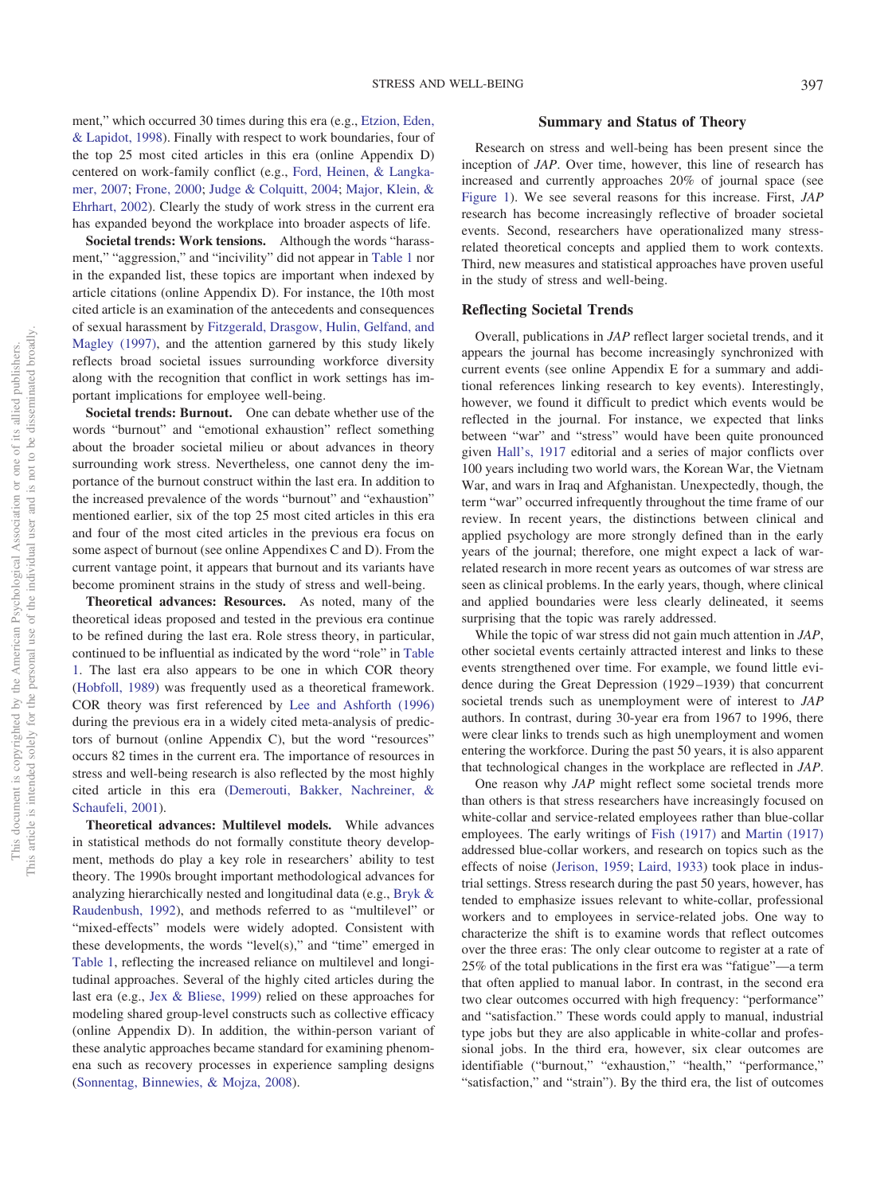ment," which occurred 30 times during this era (e.g., [Etzion, Eden,](#page-11-32) [& Lapidot, 1998\)](#page-11-32). Finally with respect to work boundaries, four of the top 25 most cited articles in this era (online Appendix D) centered on work-family conflict (e.g., [Ford, Heinen, & Langka](#page-11-33)[mer, 2007;](#page-11-33) [Frone, 2000;](#page-11-34) [Judge & Colquitt, 2004;](#page-12-33) [Major, Klein, &](#page-12-34) [Ehrhart, 2002\)](#page-12-34). Clearly the study of work stress in the current era has expanded beyond the workplace into broader aspects of life.

**Societal trends: Work tensions.** Although the words "harassment," "aggression," and "incivility" did not appear in [Table 1](#page-5-1) nor in the expanded list, these topics are important when indexed by article citations (online Appendix D). For instance, the 10th most cited article is an examination of the antecedents and consequences of sexual harassment by [Fitzgerald, Drasgow, Hulin, Gelfand, and](#page-11-35) [Magley \(1997\),](#page-11-35) and the attention garnered by this study likely reflects broad societal issues surrounding workforce diversity along with the recognition that conflict in work settings has important implications for employee well-being.

**Societal trends: Burnout.** One can debate whether use of the words "burnout" and "emotional exhaustion" reflect something about the broader societal milieu or about advances in theory surrounding work stress. Nevertheless, one cannot deny the importance of the burnout construct within the last era. In addition to the increased prevalence of the words "burnout" and "exhaustion" mentioned earlier, six of the top 25 most cited articles in this era and four of the most cited articles in the previous era focus on some aspect of burnout (see online Appendixes C and D). From the current vantage point, it appears that burnout and its variants have become prominent strains in the study of stress and well-being.

**Theoretical advances: Resources.** As noted, many of the theoretical ideas proposed and tested in the previous era continue to be refined during the last era. Role stress theory, in particular, continued to be influential as indicated by the word "role" in [Table](#page-5-1) [1.](#page-5-1) The last era also appears to be one in which COR theory [\(Hobfoll, 1989\)](#page-11-4) was frequently used as a theoretical framework. COR theory was first referenced by [Lee and Ashforth \(1996\)](#page-12-35) during the previous era in a widely cited meta-analysis of predictors of burnout (online Appendix C), but the word "resources" occurs 82 times in the current era. The importance of resources in stress and well-being research is also reflected by the most highly cited article in this era [\(Demerouti, Bakker, Nachreiner, &](#page-11-36) [Schaufeli, 2001\)](#page-11-36).

**Theoretical advances: Multilevel models.** While advances in statistical methods do not formally constitute theory development, methods do play a key role in researchers' ability to test theory. The 1990s brought important methodological advances for analyzing hierarchically nested and longitudinal data (e.g., [Bryk &](#page-10-15) [Raudenbush, 1992\)](#page-10-15), and methods referred to as "multilevel" or "mixed-effects" models were widely adopted. Consistent with these developments, the words "level(s)," and "time" emerged in [Table 1,](#page-5-1) reflecting the increased reliance on multilevel and longitudinal approaches. Several of the highly cited articles during the last era (e.g., [Jex & Bliese, 1999\)](#page-12-36) relied on these approaches for modeling shared group-level constructs such as collective efficacy (online Appendix D). In addition, the within-person variant of these analytic approaches became standard for examining phenomena such as recovery processes in experience sampling designs [\(Sonnentag, Binnewies, & Mojza, 2008\)](#page-13-13).

## **Summary and Status of Theory**

Research on stress and well-being has been present since the inception of *JAP*. Over time, however, this line of research has increased and currently approaches 20% of journal space (see [Figure 1\)](#page-4-0). We see several reasons for this increase. First, *JAP* research has become increasingly reflective of broader societal events. Second, researchers have operationalized many stressrelated theoretical concepts and applied them to work contexts. Third, new measures and statistical approaches have proven useful in the study of stress and well-being.

# **Reflecting Societal Trends**

Overall, publications in *JAP* reflect larger societal trends, and it appears the journal has become increasingly synchronized with current events (see online Appendix E for a summary and additional references linking research to key events). Interestingly, however, we found it difficult to predict which events would be reflected in the journal. For instance, we expected that links between "war" and "stress" would have been quite pronounced given [Hall's, 1917](#page-11-1) editorial and a series of major conflicts over 100 years including two world wars, the Korean War, the Vietnam War, and wars in Iraq and Afghanistan. Unexpectedly, though, the term "war" occurred infrequently throughout the time frame of our review. In recent years, the distinctions between clinical and applied psychology are more strongly defined than in the early years of the journal; therefore, one might expect a lack of warrelated research in more recent years as outcomes of war stress are seen as clinical problems. In the early years, though, where clinical and applied boundaries were less clearly delineated, it seems surprising that the topic was rarely addressed.

While the topic of war stress did not gain much attention in *JAP*, other societal events certainly attracted interest and links to these events strengthened over time. For example, we found little evidence during the Great Depression (1929 –1939) that concurrent societal trends such as unemployment were of interest to *JAP* authors. In contrast, during 30-year era from 1967 to 1996, there were clear links to trends such as high unemployment and women entering the workforce. During the past 50 years, it is also apparent that technological changes in the workplace are reflected in *JAP*.

One reason why *JAP* might reflect some societal trends more than others is that stress researchers have increasingly focused on white-collar and service-related employees rather than blue-collar employees. The early writings of [Fish \(1917\)](#page-11-0) and [Martin \(1917\)](#page-12-0) addressed blue-collar workers, and research on topics such as the effects of noise [\(Jerison, 1959;](#page-12-29) [Laird, 1933\)](#page-12-1) took place in industrial settings. Stress research during the past 50 years, however, has tended to emphasize issues relevant to white-collar, professional workers and to employees in service-related jobs. One way to characterize the shift is to examine words that reflect outcomes over the three eras: The only clear outcome to register at a rate of 25% of the total publications in the first era was "fatigue"—a term that often applied to manual labor. In contrast, in the second era two clear outcomes occurred with high frequency: "performance" and "satisfaction." These words could apply to manual, industrial type jobs but they are also applicable in white-collar and professional jobs. In the third era, however, six clear outcomes are identifiable ("burnout," "exhaustion," "health," "performance," "satisfaction," and "strain"). By the third era, the list of outcomes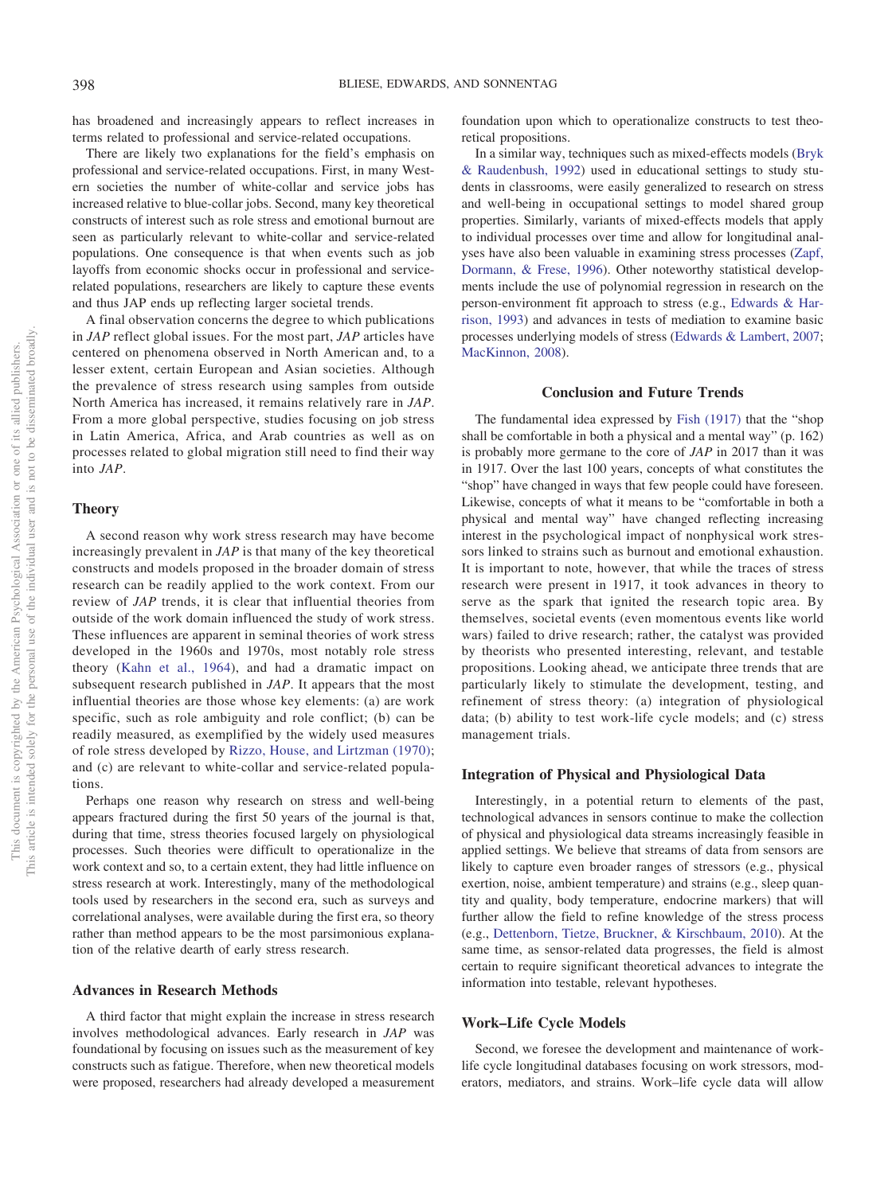has broadened and increasingly appears to reflect increases in terms related to professional and service-related occupations.

There are likely two explanations for the field's emphasis on professional and service-related occupations. First, in many Western societies the number of white-collar and service jobs has increased relative to blue-collar jobs. Second, many key theoretical constructs of interest such as role stress and emotional burnout are seen as particularly relevant to white-collar and service-related populations. One consequence is that when events such as job layoffs from economic shocks occur in professional and servicerelated populations, researchers are likely to capture these events and thus JAP ends up reflecting larger societal trends.

A final observation concerns the degree to which publications in *JAP* reflect global issues. For the most part, *JAP* articles have centered on phenomena observed in North American and, to a lesser extent, certain European and Asian societies. Although the prevalence of stress research using samples from outside North America has increased, it remains relatively rare in *JAP*. From a more global perspective, studies focusing on job stress in Latin America, Africa, and Arab countries as well as on processes related to global migration still need to find their way into *JAP*.

#### **Theory**

A second reason why work stress research may have become increasingly prevalent in *JAP* is that many of the key theoretical constructs and models proposed in the broader domain of stress research can be readily applied to the work context. From our review of *JAP* trends, it is clear that influential theories from outside of the work domain influenced the study of work stress. These influences are apparent in seminal theories of work stress developed in the 1960s and 1970s, most notably role stress theory [\(Kahn et al., 1964\)](#page-12-20), and had a dramatic impact on subsequent research published in *JAP*. It appears that the most influential theories are those whose key elements: (a) are work specific, such as role ambiguity and role conflict; (b) can be readily measured, as exemplified by the widely used measures of role stress developed by [Rizzo, House, and Lirtzman \(1970\);](#page-12-37) and (c) are relevant to white-collar and service-related populations.

Perhaps one reason why research on stress and well-being appears fractured during the first 50 years of the journal is that, during that time, stress theories focused largely on physiological processes. Such theories were difficult to operationalize in the work context and so, to a certain extent, they had little influence on stress research at work. Interestingly, many of the methodological tools used by researchers in the second era, such as surveys and correlational analyses, were available during the first era, so theory rather than method appears to be the most parsimonious explanation of the relative dearth of early stress research.

#### **Advances in Research Methods**

A third factor that might explain the increase in stress research involves methodological advances. Early research in *JAP* was foundational by focusing on issues such as the measurement of key constructs such as fatigue. Therefore, when new theoretical models were proposed, researchers had already developed a measurement

foundation upon which to operationalize constructs to test theoretical propositions.

In a similar way, techniques such as mixed-effects models [\(Bryk](#page-10-15) [& Raudenbush, 1992\)](#page-10-15) used in educational settings to study students in classrooms, were easily generalized to research on stress and well-being in occupational settings to model shared group properties. Similarly, variants of mixed-effects models that apply to individual processes over time and allow for longitudinal analyses have also been valuable in examining stress processes [\(Zapf,](#page-13-14) [Dormann, & Frese, 1996\)](#page-13-14). Other noteworthy statistical developments include the use of polynomial regression in research on the person-environment fit approach to stress (e.g., [Edwards & Har](#page-11-37)[rison, 1993\)](#page-11-37) and advances in tests of mediation to examine basic processes underlying models of stress [\(Edwards & Lambert, 2007;](#page-11-38) [MacKinnon, 2008\)](#page-12-38).

#### **Conclusion and Future Trends**

The fundamental idea expressed by [Fish \(1917\)](#page-11-0) that the "shop shall be comfortable in both a physical and a mental way" (p. 162) is probably more germane to the core of *JAP* in 2017 than it was in 1917. Over the last 100 years, concepts of what constitutes the "shop" have changed in ways that few people could have foreseen. Likewise, concepts of what it means to be "comfortable in both a physical and mental way" have changed reflecting increasing interest in the psychological impact of nonphysical work stressors linked to strains such as burnout and emotional exhaustion. It is important to note, however, that while the traces of stress research were present in 1917, it took advances in theory to serve as the spark that ignited the research topic area. By themselves, societal events (even momentous events like world wars) failed to drive research; rather, the catalyst was provided by theorists who presented interesting, relevant, and testable propositions. Looking ahead, we anticipate three trends that are particularly likely to stimulate the development, testing, and refinement of stress theory: (a) integration of physiological data; (b) ability to test work-life cycle models; and (c) stress management trials.

#### **Integration of Physical and Physiological Data**

Interestingly, in a potential return to elements of the past, technological advances in sensors continue to make the collection of physical and physiological data streams increasingly feasible in applied settings. We believe that streams of data from sensors are likely to capture even broader ranges of stressors (e.g., physical exertion, noise, ambient temperature) and strains (e.g., sleep quantity and quality, body temperature, endocrine markers) that will further allow the field to refine knowledge of the stress process (e.g., [Dettenborn, Tietze, Bruckner, & Kirschbaum, 2010\)](#page-11-39). At the same time, as sensor-related data progresses, the field is almost certain to require significant theoretical advances to integrate the information into testable, relevant hypotheses.

# **Work–Life Cycle Models**

Second, we foresee the development and maintenance of worklife cycle longitudinal databases focusing on work stressors, moderators, mediators, and strains. Work–life cycle data will allow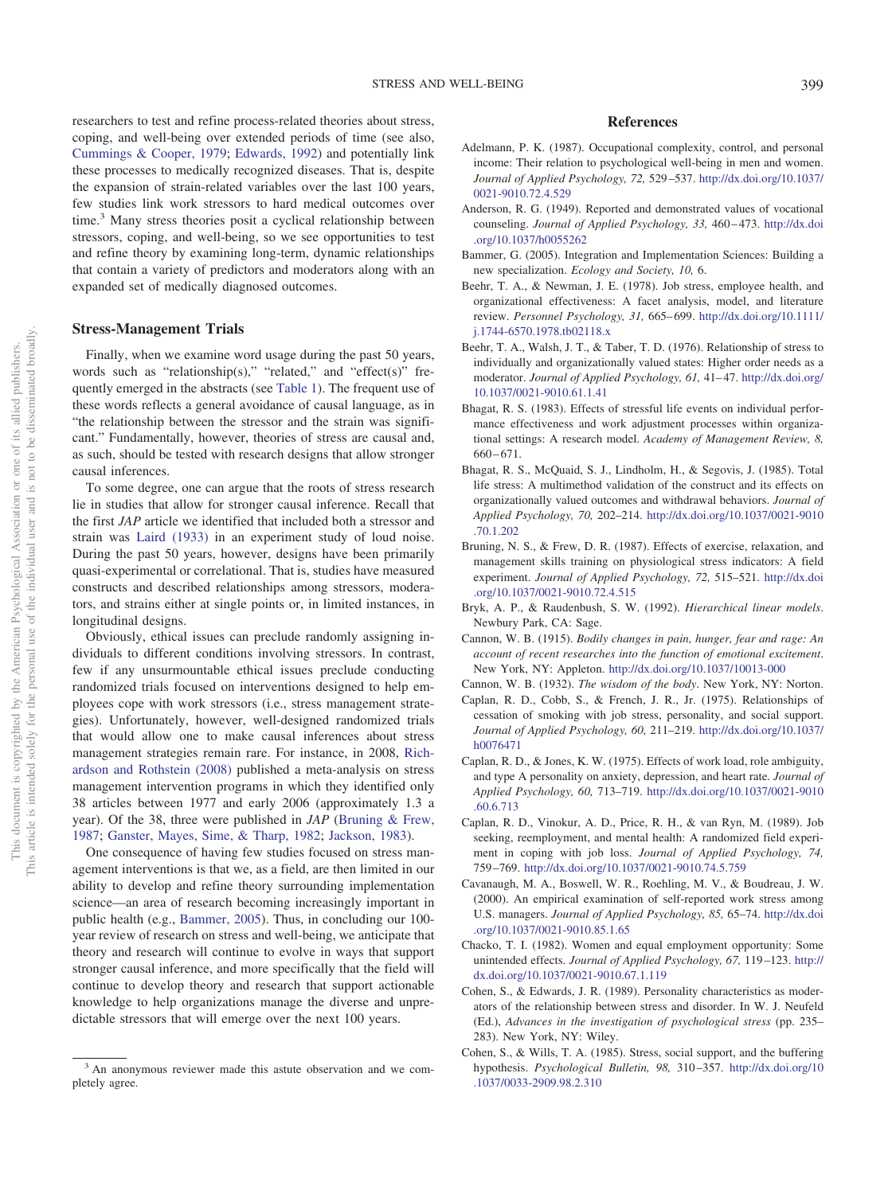few studies link work stressors to hard medical outcomes over time.<sup>3</sup> Many stress theories posit a cyclical relationship between stressors, coping, and well-being, so we see opportunities to test and refine theory by examining long-term, dynamic relationships that contain a variety of predictors and moderators along with an expanded set of medically diagnosed outcomes.

#### **Stress-Management Trials**

Finally, when we examine word usage during the past 50 years, words such as "relationship(s)," "related," and "effect(s)" frequently emerged in the abstracts (see [Table 1\)](#page-5-1). The frequent use of these words reflects a general avoidance of causal language, as in "the relationship between the stressor and the strain was significant." Fundamentally, however, theories of stress are causal and, as such, should be tested with research designs that allow stronger causal inferences.

To some degree, one can argue that the roots of stress research lie in studies that allow for stronger causal inference. Recall that the first *JAP* article we identified that included both a stressor and strain was [Laird \(1933\)](#page-12-1) in an experiment study of loud noise. During the past 50 years, however, designs have been primarily quasi-experimental or correlational. That is, studies have measured constructs and described relationships among stressors, moderators, and strains either at single points or, in limited instances, in longitudinal designs.

Obviously, ethical issues can preclude randomly assigning individuals to different conditions involving stressors. In contrast, few if any unsurmountable ethical issues preclude conducting randomized trials focused on interventions designed to help employees cope with work stressors (i.e., stress management strategies). Unfortunately, however, well-designed randomized trials that would allow one to make causal inferences about stress management strategies remain rare. For instance, in 2008, [Rich](#page-12-39)[ardson and Rothstein \(2008\)](#page-12-39) published a meta-analysis on stress management intervention programs in which they identified only 38 articles between 1977 and early 2006 (approximately 1.3 a year). Of the 38, three were published in *JAP* [\(Bruning & Frew,](#page-10-16) [1987;](#page-10-16) [Ganster, Mayes, Sime, & Tharp, 1982;](#page-11-40) [Jackson, 1983\)](#page-12-40).

One consequence of having few studies focused on stress management interventions is that we, as a field, are then limited in our ability to develop and refine theory surrounding implementation science—an area of research becoming increasingly important in public health (e.g., [Bammer, 2005\)](#page-10-17). Thus, in concluding our 100 year review of research on stress and well-being, we anticipate that theory and research will continue to evolve in ways that support stronger causal inference, and more specifically that the field will continue to develop theory and research that support actionable knowledge to help organizations manage the diverse and unpredictable stressors that will emerge over the next 100 years.

# **References**

- <span id="page-10-10"></span>Adelmann, P. K. (1987). Occupational complexity, control, and personal income: Their relation to psychological well-being in men and women. *Journal of Applied Psychology, 72,* 529 –537. [http://dx.doi.org/10.1037/](http://dx.doi.org/10.1037/0021-9010.72.4.529) [0021-9010.72.4.529](http://dx.doi.org/10.1037/0021-9010.72.4.529)
- <span id="page-10-8"></span>Anderson, R. G. (1949). Reported and demonstrated values of vocational counseling. *Journal of Applied Psychology, 33,* 460 – 473. [http://dx.doi](http://dx.doi.org/10.1037/h0055262) [.org/10.1037/h0055262](http://dx.doi.org/10.1037/h0055262)
- <span id="page-10-17"></span>Bammer, G. (2005). Integration and Implementation Sciences: Building a new specialization. *Ecology and Society, 10,* 6.
- <span id="page-10-0"></span>Beehr, T. A., & Newman, J. E. (1978). Job stress, employee health, and organizational effectiveness: A facet analysis, model, and literature review. *Personnel Psychology, 31,* 665– 699. [http://dx.doi.org/10.1111/](http://dx.doi.org/10.1111/j.1744-6570.1978.tb02118.x) [j.1744-6570.1978.tb02118.x](http://dx.doi.org/10.1111/j.1744-6570.1978.tb02118.x)
- <span id="page-10-12"></span>Beehr, T. A., Walsh, J. T., & Taber, T. D. (1976). Relationship of stress to individually and organizationally valued states: Higher order needs as a moderator. *Journal of Applied Psychology, 61, 41-47.* [http://dx.doi.org/](http://dx.doi.org/10.1037/0021-9010.61.1.41) [10.1037/0021-9010.61.1.41](http://dx.doi.org/10.1037/0021-9010.61.1.41)
- <span id="page-10-5"></span>Bhagat, R. S. (1983). Effects of stressful life events on individual performance effectiveness and work adjustment processes within organizational settings: A research model. *Academy of Management Review, 8,*  $660 - 671.$
- <span id="page-10-6"></span>Bhagat, R. S., McQuaid, S. J., Lindholm, H., & Segovis, J. (1985). Total life stress: A multimethod validation of the construct and its effects on organizationally valued outcomes and withdrawal behaviors. *Journal of Applied Psychology, 70,* 202–214. [http://dx.doi.org/10.1037/0021-9010](http://dx.doi.org/10.1037/0021-9010.70.1.202) [.70.1.202](http://dx.doi.org/10.1037/0021-9010.70.1.202)
- <span id="page-10-16"></span>Bruning, N. S., & Frew, D. R. (1987). Effects of exercise, relaxation, and management skills training on physiological stress indicators: A field experiment. *Journal of Applied Psychology, 72,* 515–521. [http://dx.doi](http://dx.doi.org/10.1037/0021-9010.72.4.515) [.org/10.1037/0021-9010.72.4.515](http://dx.doi.org/10.1037/0021-9010.72.4.515)
- <span id="page-10-15"></span>Bryk, A. P., & Raudenbush, S. W. (1992). *Hierarchical linear models*. Newbury Park, CA: Sage.
- <span id="page-10-1"></span>Cannon, W. B. (1915). *Bodily changes in pain, hunger, fear and rage: An account of recent researches into the function of emotional excitement*. New York, NY: Appleton. <http://dx.doi.org/10.1037/10013-000>
- <span id="page-10-14"></span><span id="page-10-2"></span>Cannon, W. B. (1932). *The wisdom of the body*. New York, NY: Norton.
- Caplan, R. D., Cobb, S., & French, J. R., Jr. (1975). Relationships of cessation of smoking with job stress, personality, and social support. *Journal of Applied Psychology, 60,* 211–219. [http://dx.doi.org/10.1037/](http://dx.doi.org/10.1037/h0076471) [h0076471](http://dx.doi.org/10.1037/h0076471)
- <span id="page-10-13"></span>Caplan, R. D., & Jones, K. W. (1975). Effects of work load, role ambiguity, and type A personality on anxiety, depression, and heart rate. *Journal of Applied Psychology, 60,* 713–719. [http://dx.doi.org/10.1037/0021-9010](http://dx.doi.org/10.1037/0021-9010.60.6.713) [.60.6.713](http://dx.doi.org/10.1037/0021-9010.60.6.713)
- <span id="page-10-11"></span>Caplan, R. D., Vinokur, A. D., Price, R. H., & van Ryn, M. (1989). Job seeking, reemployment, and mental health: A randomized field experiment in coping with job loss. *Journal of Applied Psychology, 74,* 759 –769. <http://dx.doi.org/10.1037/0021-9010.74.5.759>
- <span id="page-10-7"></span>Cavanaugh, M. A., Boswell, W. R., Roehling, M. V., & Boudreau, J. W. (2000). An empirical examination of self-reported work stress among U.S. managers. *Journal of Applied Psychology, 85,* 65–74. [http://dx.doi](http://dx.doi.org/10.1037/0021-9010.85.1.65) [.org/10.1037/0021-9010.85.1.65](http://dx.doi.org/10.1037/0021-9010.85.1.65)
- <span id="page-10-9"></span>Chacko, T. I. (1982). Women and equal employment opportunity: Some unintended effects. *Journal of Applied Psychology, 67,* 119 –123. [http://](http://dx.doi.org/10.1037/0021-9010.67.1.119) [dx.doi.org/10.1037/0021-9010.67.1.119](http://dx.doi.org/10.1037/0021-9010.67.1.119)
- <span id="page-10-3"></span>Cohen, S., & Edwards, J. R. (1989). Personality characteristics as moderators of the relationship between stress and disorder. In W. J. Neufeld (Ed.), *Advances in the investigation of psychological stress* (pp. 235– 283). New York, NY: Wiley.
- <span id="page-10-4"></span>Cohen, S., & Wills, T. A. (1985). Stress, social support, and the buffering hypothesis. *Psychological Bulletin, 98,* 310 –357. [http://dx.doi.org/10](http://dx.doi.org/10.1037/0033-2909.98.2.310) [.1037/0033-2909.98.2.310](http://dx.doi.org/10.1037/0033-2909.98.2.310)

<sup>3</sup> An anonymous reviewer made this astute observation and we completely agree.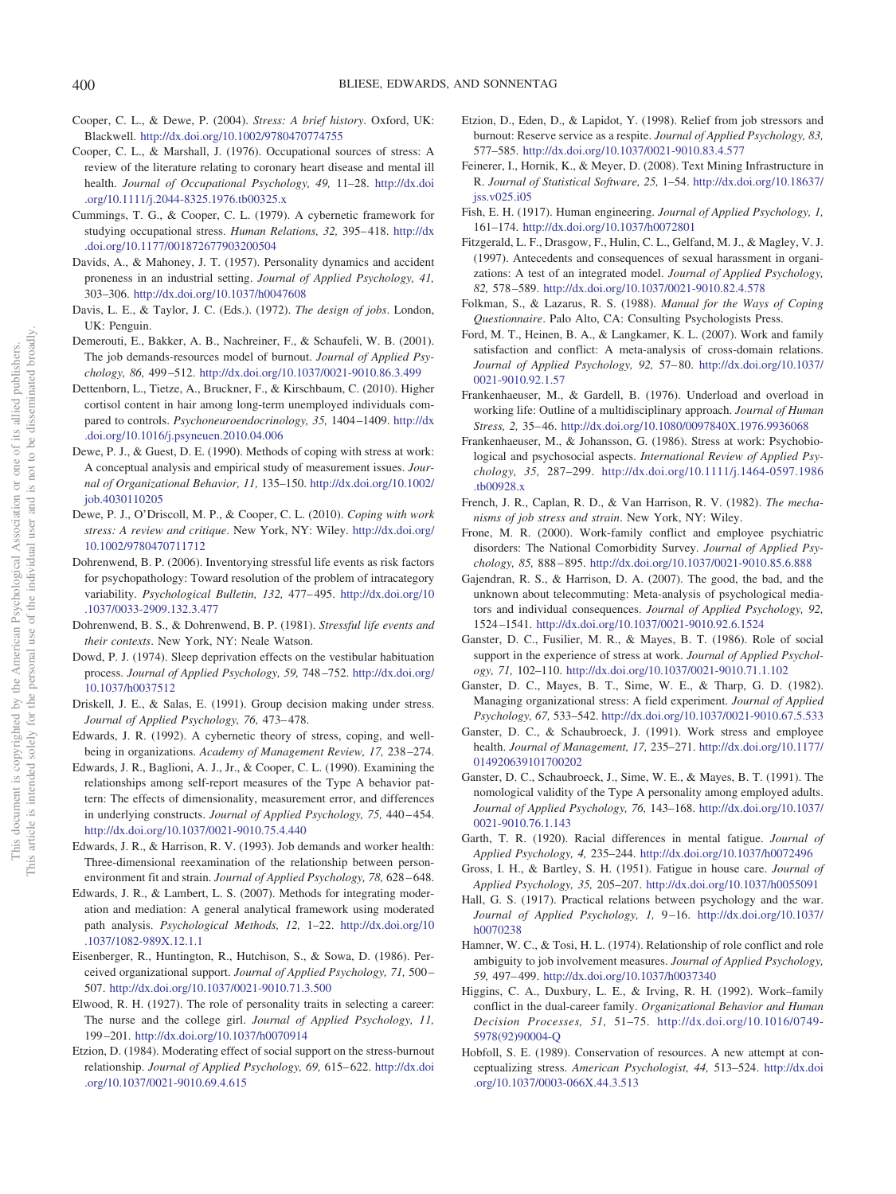- <span id="page-11-8"></span>Cooper, C. L., & Dewe, P. (2004). *Stress: A brief history*. Oxford, UK: Blackwell. <http://dx.doi.org/10.1002/9780470774755>
- <span id="page-11-12"></span>Cooper, C. L., & Marshall, J. (1976). Occupational sources of stress: A review of the literature relating to coronary heart disease and mental ill health. *Journal of Occupational Psychology, 49,* 11–28. [http://dx.doi](http://dx.doi.org/10.1111/j.2044-8325.1976.tb00325.x) [.org/10.1111/j.2044-8325.1976.tb00325.x](http://dx.doi.org/10.1111/j.2044-8325.1976.tb00325.x)
- <span id="page-11-16"></span>Cummings, T. G., & Cooper, C. L. (1979). A cybernetic framework for studying occupational stress. *Human Relations, 32,* 395– 418. [http://dx](http://dx.doi.org/10.1177/001872677903200504) [.doi.org/10.1177/001872677903200504](http://dx.doi.org/10.1177/001872677903200504)
- <span id="page-11-24"></span>Davids, A., & Mahoney, J. T. (1957). Personality dynamics and accident proneness in an industrial setting. *Journal of Applied Psychology, 41,* 303–306. <http://dx.doi.org/10.1037/h0047608>
- <span id="page-11-5"></span>Davis, L. E., & Taylor, J. C. (Eds.). (1972). *The design of jobs*. London, UK: Penguin.
- <span id="page-11-36"></span>Demerouti, E., Bakker, A. B., Nachreiner, F., & Schaufeli, W. B. (2001). The job demands-resources model of burnout. *Journal of Applied Psychology, 86,* 499 –512. <http://dx.doi.org/10.1037/0021-9010.86.3.499>
- <span id="page-11-39"></span>Dettenborn, L., Tietze, A., Bruckner, F., & Kirschbaum, C. (2010). Higher cortisol content in hair among long-term unemployed individuals compared to controls. *Psychoneuroendocrinology, 35,* 1404 –1409. [http://dx](http://dx.doi.org/10.1016/j.psyneuen.2010.04.006) [.doi.org/10.1016/j.psyneuen.2010.04.006](http://dx.doi.org/10.1016/j.psyneuen.2010.04.006)
- <span id="page-11-19"></span>Dewe, P. J., & Guest, D. E. (1990). Methods of coping with stress at work: A conceptual analysis and empirical study of measurement issues. *Journal of Organizational Behavior, 11,* 135–150. [http://dx.doi.org/10.1002/](http://dx.doi.org/10.1002/job.4030110205) [job.4030110205](http://dx.doi.org/10.1002/job.4030110205)
- <span id="page-11-18"></span>Dewe, P. J., O'Driscoll, M. P., & Cooper, C. L. (2010). *Coping with work stress: A review and critique*. New York, NY: Wiley. [http://dx.doi.org/](http://dx.doi.org/10.1002/9780470711712) [10.1002/9780470711712](http://dx.doi.org/10.1002/9780470711712)
- <span id="page-11-10"></span>Dohrenwend, B. P. (2006). Inventorying stressful life events as risk factors for psychopathology: Toward resolution of the problem of intracategory variability. *Psychological Bulletin, 132,* 477– 495. [http://dx.doi.org/10](http://dx.doi.org/10.1037/0033-2909.132.3.477) [.1037/0033-2909.132.3.477](http://dx.doi.org/10.1037/0033-2909.132.3.477)
- <span id="page-11-9"></span>Dohrenwend, B. S., & Dohrenwend, B. P. (1981). *Stressful life events and their contexts*. New York, NY: Neale Watson.
- <span id="page-11-31"></span>Dowd, P. J. (1974). Sleep deprivation effects on the vestibular habituation process. *Journal of Applied Psychology, 59,* 748 –752. [http://dx.doi.org/](http://dx.doi.org/10.1037/h0037512) [10.1037/h0037512](http://dx.doi.org/10.1037/h0037512)
- <span id="page-11-26"></span>Driskell, J. E., & Salas, E. (1991). Group decision making under stress. *Journal of Applied Psychology, 76,* 473– 478.
- <span id="page-11-17"></span>Edwards, J. R. (1992). A cybernetic theory of stress, coping, and wellbeing in organizations. *Academy of Management Review, 17,* 238 –274.
- <span id="page-11-21"></span>Edwards, J. R., Baglioni, A. J., Jr., & Cooper, C. L. (1990). Examining the relationships among self-report measures of the Type A behavior pattern: The effects of dimensionality, measurement error, and differences in underlying constructs. *Journal of Applied Psychology, 75,* 440 – 454. <http://dx.doi.org/10.1037/0021-9010.75.4.440>
- <span id="page-11-37"></span>Edwards, J. R., & Harrison, R. V. (1993). Job demands and worker health: Three-dimensional reexamination of the relationship between personenvironment fit and strain. *Journal of Applied Psychology, 78,* 628 – 648.
- <span id="page-11-38"></span>Edwards, J. R., & Lambert, L. S. (2007). Methods for integrating moderation and mediation: A general analytical framework using moderated path analysis. *Psychological Methods, 12,* 1–22. [http://dx.doi.org/10](http://dx.doi.org/10.1037/1082-989X.12.1.1) [.1037/1082-989X.12.1.1](http://dx.doi.org/10.1037/1082-989X.12.1.1)
- <span id="page-11-30"></span>Eisenberger, R., Huntington, R., Hutchison, S., & Sowa, D. (1986). Perceived organizational support. *Journal of Applied Psychology, 71,* 500 – 507. <http://dx.doi.org/10.1037/0021-9010.71.3.500>
- <span id="page-11-3"></span>Elwood, R. H. (1927). The role of personality traits in selecting a career: The nurse and the college girl. *Journal of Applied Psychology, 11,* 199 –201. <http://dx.doi.org/10.1037/h0070914>
- <span id="page-11-29"></span>Etzion, D. (1984). Moderating effect of social support on the stress-burnout relationship. *Journal of Applied Psychology, 69,* 615– 622. [http://dx.doi](http://dx.doi.org/10.1037/0021-9010.69.4.615) [.org/10.1037/0021-9010.69.4.615](http://dx.doi.org/10.1037/0021-9010.69.4.615)
- <span id="page-11-32"></span>Etzion, D., Eden, D., & Lapidot, Y. (1998). Relief from job stressors and burnout: Reserve service as a respite. *Journal of Applied Psychology, 83,* 577–585. <http://dx.doi.org/10.1037/0021-9010.83.4.577>
- <span id="page-11-23"></span>Feinerer, I., Hornik, K., & Meyer, D. (2008). Text Mining Infrastructure in R. *Journal of Statistical Software, 25,* 1–54. [http://dx.doi.org/10.18637/](http://dx.doi.org/10.18637/jss.v025.i05) [jss.v025.i05](http://dx.doi.org/10.18637/jss.v025.i05)
- <span id="page-11-0"></span>Fish, E. H. (1917). Human engineering. *Journal of Applied Psychology, 1,* 161–174. <http://dx.doi.org/10.1037/h0072801>
- <span id="page-11-35"></span>Fitzgerald, L. F., Drasgow, F., Hulin, C. L., Gelfand, M. J., & Magley, V. J. (1997). Antecedents and consequences of sexual harassment in organizations: A test of an integrated model. *Journal of Applied Psychology, 82,* 578 –589. <http://dx.doi.org/10.1037/0021-9010.82.4.578>
- <span id="page-11-11"></span>Folkman, S., & Lazarus, R. S. (1988). *Manual for the Ways of Coping Questionnaire*. Palo Alto, CA: Consulting Psychologists Press.
- <span id="page-11-33"></span>Ford, M. T., Heinen, B. A., & Langkamer, K. L. (2007). Work and family satisfaction and conflict: A meta-analysis of cross-domain relations. *Journal of Applied Psychology, 92,* 57– 80. [http://dx.doi.org/10.1037/](http://dx.doi.org/10.1037/0021-9010.92.1.57) [0021-9010.92.1.57](http://dx.doi.org/10.1037/0021-9010.92.1.57)
- <span id="page-11-13"></span>Frankenhaeuser, M., & Gardell, B. (1976). Underload and overload in working life: Outline of a multidisciplinary approach. *Journal of Human Stress, 2,* 35– 46. <http://dx.doi.org/10.1080/0097840X.1976.9936068>
- <span id="page-11-14"></span>Frankenhaeuser, M., & Johansson, G. (1986). Stress at work: Psychobiological and psychosocial aspects. *International Review of Applied Psychology, 35,* 287–299. [http://dx.doi.org/10.1111/j.1464-0597.1986](http://dx.doi.org/10.1111/j.1464-0597.1986.tb00928.x) [.tb00928.x](http://dx.doi.org/10.1111/j.1464-0597.1986.tb00928.x)
- <span id="page-11-15"></span>French, J. R., Caplan, R. D., & Van Harrison, R. V. (1982). *The mechanisms of job stress and strain*. New York, NY: Wiley.
- <span id="page-11-34"></span>Frone, M. R. (2000). Work-family conflict and employee psychiatric disorders: The National Comorbidity Survey. *Journal of Applied Psychology, 85,* 888 – 895. <http://dx.doi.org/10.1037/0021-9010.85.6.888>
- <span id="page-11-6"></span>Gajendran, R. S., & Harrison, D. A. (2007). The good, the bad, and the unknown about telecommuting: Meta-analysis of psychological mediators and individual consequences. *Journal of Applied Psychology, 92,* 1524 –1541. <http://dx.doi.org/10.1037/0021-9010.92.6.1524>
- <span id="page-11-28"></span>Ganster, D. C., Fusilier, M. R., & Mayes, B. T. (1986). Role of social support in the experience of stress at work. *Journal of Applied Psychology, 71,* 102–110. <http://dx.doi.org/10.1037/0021-9010.71.1.102>
- <span id="page-11-40"></span>Ganster, D. C., Mayes, B. T., Sime, W. E., & Tharp, G. D. (1982). Managing organizational stress: A field experiment. *Journal of Applied Psychology, 67,* 533–542. <http://dx.doi.org/10.1037/0021-9010.67.5.533>
- <span id="page-11-20"></span>Ganster, D. C., & Schaubroeck, J. (1991). Work stress and employee health. *Journal of Management, 17,* 235–271. [http://dx.doi.org/10.1177/](http://dx.doi.org/10.1177/014920639101700202) [014920639101700202](http://dx.doi.org/10.1177/014920639101700202)
- <span id="page-11-22"></span>Ganster, D. C., Schaubroeck, J., Sime, W. E., & Mayes, B. T. (1991). The nomological validity of the Type A personality among employed adults. *Journal of Applied Psychology, 76,* 143–168. [http://dx.doi.org/10.1037/](http://dx.doi.org/10.1037/0021-9010.76.1.143) [0021-9010.76.1.143](http://dx.doi.org/10.1037/0021-9010.76.1.143)
- <span id="page-11-2"></span>Garth, T. R. (1920). Racial differences in mental fatigue. *Journal of Applied Psychology, 4,* 235–244. <http://dx.doi.org/10.1037/h0072496>
- <span id="page-11-25"></span>Gross, I. H., & Bartley, S. H. (1951). Fatigue in house care. *Journal of Applied Psychology, 35,* 205–207. <http://dx.doi.org/10.1037/h0055091>
- <span id="page-11-1"></span>Hall, G. S. (1917). Practical relations between psychology and the war. *Journal of Applied Psychology, 1,* 9 –16. [http://dx.doi.org/10.1037/](http://dx.doi.org/10.1037/h0070238) [h0070238](http://dx.doi.org/10.1037/h0070238)
- <span id="page-11-27"></span>Hamner, W. C., & Tosi, H. L. (1974). Relationship of role conflict and role ambiguity to job involvement measures. *Journal of Applied Psychology, 59,* 497– 499. <http://dx.doi.org/10.1037/h0037340>
- <span id="page-11-7"></span>Higgins, C. A., Duxbury, L. E., & Irving, R. H. (1992). Work–family conflict in the dual-career family. *Organizational Behavior and Human Decision Processes, 51,* 51–75. [http://dx.doi.org/10.1016/0749-](http://dx.doi.org/10.1016/0749-5978%2892%2990004-Q) [5978\(92\)90004-Q](http://dx.doi.org/10.1016/0749-5978%2892%2990004-Q)
- <span id="page-11-4"></span>Hobfoll, S. E. (1989). Conservation of resources. A new attempt at conceptualizing stress. *American Psychologist, 44,* 513–524. [http://dx.doi](http://dx.doi.org/10.1037/0003-066X.44.3.513) [.org/10.1037/0003-066X.44.3.513](http://dx.doi.org/10.1037/0003-066X.44.3.513)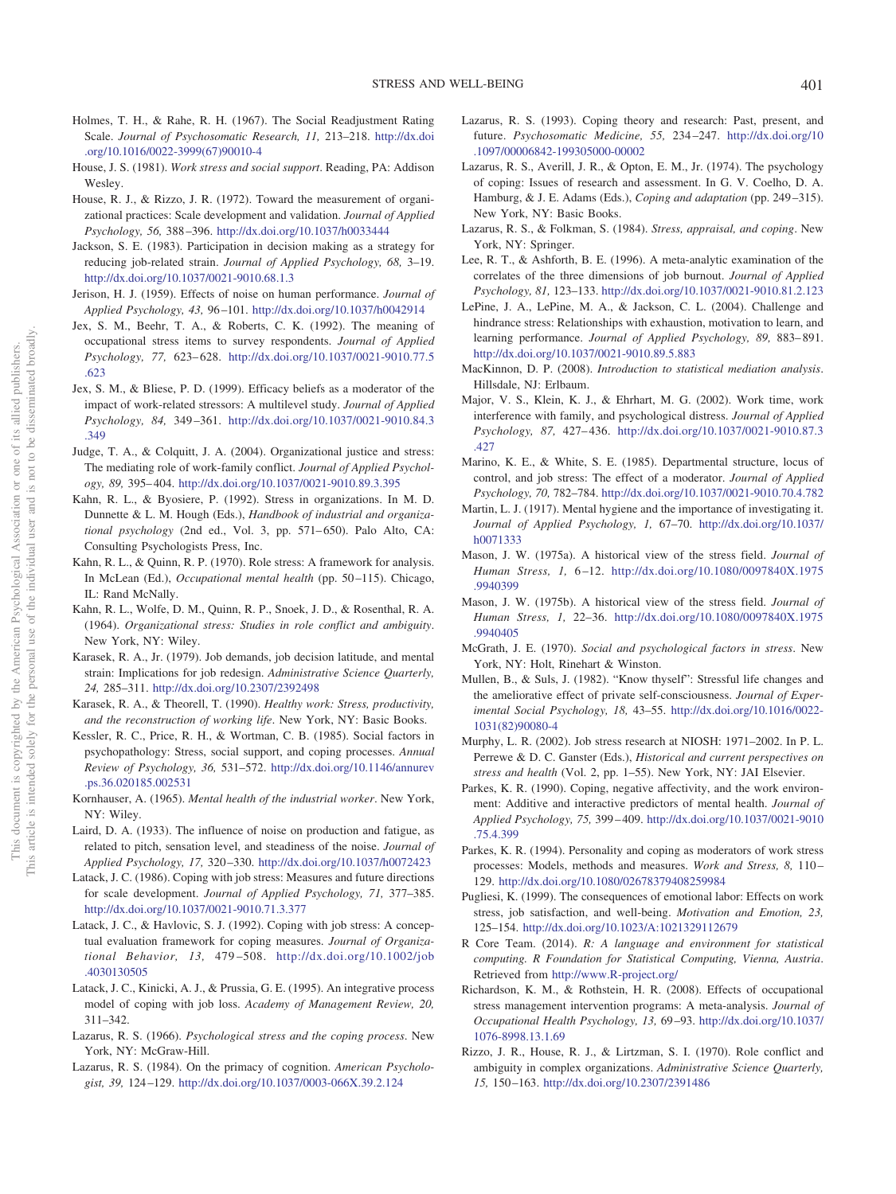- <span id="page-12-9"></span>Holmes, T. H., & Rahe, R. H. (1967). The Social Readjustment Rating Scale. *Journal of Psychosomatic Research, 11,* 213–218. [http://dx.doi](http://dx.doi.org/10.1016/0022-3999%2867%2990010-4) [.org/10.1016/0022-3999\(67\)90010-4](http://dx.doi.org/10.1016/0022-3999%2867%2990010-4)
- <span id="page-12-26"></span>House, J. S. (1981). *Work stress and social support*. Reading, PA: Addison Wesley.
- <span id="page-12-32"></span>House, R. J., & Rizzo, J. R. (1972). Toward the measurement of organizational practices: Scale development and validation. *Journal of Applied Psychology, 56,* 388 –396. <http://dx.doi.org/10.1037/h0033444>
- <span id="page-12-40"></span>Jackson, S. E. (1983). Participation in decision making as a strategy for reducing job-related strain. *Journal of Applied Psychology, 68,* 3–19. <http://dx.doi.org/10.1037/0021-9010.68.1.3>
- <span id="page-12-29"></span>Jerison, H. J. (1959). Effects of noise on human performance. *Journal of Applied Psychology, 43,* 96 –101. <http://dx.doi.org/10.1037/h0042914>
- <span id="page-12-2"></span>Jex, S. M., Beehr, T. A., & Roberts, C. K. (1992). The meaning of occupational stress items to survey respondents. *Journal of Applied Psychology, 77,* 623– 628. [http://dx.doi.org/10.1037/0021-9010.77.5](http://dx.doi.org/10.1037/0021-9010.77.5.623) [.623](http://dx.doi.org/10.1037/0021-9010.77.5.623)
- <span id="page-12-36"></span>Jex, S. M., & Bliese, P. D. (1999). Efficacy beliefs as a moderator of the impact of work-related stressors: A multilevel study. *Journal of Applied Psychology, 84,* 349 –361. [http://dx.doi.org/10.1037/0021-9010.84.3](http://dx.doi.org/10.1037/0021-9010.84.3.349) [.349](http://dx.doi.org/10.1037/0021-9010.84.3.349)
- <span id="page-12-33"></span>Judge, T. A., & Colquitt, J. A. (2004). Organizational justice and stress: The mediating role of work-family conflict. *Journal of Applied Psychology, 89,* 395– 404. <http://dx.doi.org/10.1037/0021-9010.89.3.395>
- <span id="page-12-4"></span>Kahn, R. L., & Byosiere, P. (1992). Stress in organizations. In M. D. Dunnette & L. M. Hough (Eds.), *Handbook of industrial and organiza*tional psychology (2nd ed., Vol. 3, pp. 571-650). Palo Alto, CA: Consulting Psychologists Press, Inc.
- <span id="page-12-19"></span>Kahn, R. L., & Quinn, R. P. (1970). Role stress: A framework for analysis. In McLean (Ed.), *Occupational mental health* (pp. 50-115). Chicago, IL: Rand McNally.
- <span id="page-12-20"></span>Kahn, R. L., Wolfe, D. M., Quinn, R. P., Snoek, J. D., & Rosenthal, R. A. (1964). *Organizational stress: Studies in role conflict and ambiguity*. New York, NY: Wiley.
- <span id="page-12-16"></span>Karasek, R. A., Jr. (1979). Job demands, job decision latitude, and mental strain: Implications for job redesign. *Administrative Science Quarterly, 24,* 285–311. <http://dx.doi.org/10.2307/2392498>
- <span id="page-12-17"></span>Karasek, R. A., & Theorell, T. (1990). *Healthy work: Stress, productivity, and the reconstruction of working life*. New York, NY: Basic Books.
- <span id="page-12-10"></span>Kessler, R. C., Price, R. H., & Wortman, C. B. (1985). Social factors in psychopathology: Stress, social support, and coping processes. *Annual Review of Psychology, 36,* 531–572. [http://dx.doi.org/10.1146/annurev](http://dx.doi.org/10.1146/annurev.ps.36.020185.002531) [.ps.36.020185.002531](http://dx.doi.org/10.1146/annurev.ps.36.020185.002531)
- <span id="page-12-28"></span>Kornhauser, A. (1965). *Mental health of the industrial worker*. New York, NY: Wiley.
- <span id="page-12-1"></span>Laird, D. A. (1933). The influence of noise on production and fatigue, as related to pitch, sensation level, and steadiness of the noise. *Journal of Applied Psychology, 17,* 320 –330. <http://dx.doi.org/10.1037/h0072423>
- <span id="page-12-22"></span>Latack, J. C. (1986). Coping with job stress: Measures and future directions for scale development. *Journal of Applied Psychology, 71,* 377–385. <http://dx.doi.org/10.1037/0021-9010.71.3.377>
- <span id="page-12-21"></span>Latack, J. C., & Havlovic, S. J. (1992). Coping with job stress: A conceptual evaluation framework for coping measures. *Journal of Organizational Behavior, 13,* 479 –508. [http://dx.doi.org/10.1002/job](http://dx.doi.org/10.1002/job.4030130505) [.4030130505](http://dx.doi.org/10.1002/job.4030130505)
- <span id="page-12-23"></span>Latack, J. C., Kinicki, A. J., & Prussia, G. E. (1995). An integrative process model of coping with job loss. *Academy of Management Review, 20,* 311–342.
- <span id="page-12-12"></span>Lazarus, R. S. (1966). *Psychological stress and the coping process*. New York, NY: McGraw-Hill.
- <span id="page-12-15"></span>Lazarus, R. S. (1984). On the primacy of cognition. *American Psychologist, 39,* 124 –129. <http://dx.doi.org/10.1037/0003-066X.39.2.124>
- <span id="page-12-6"></span>Lazarus, R. S. (1993). Coping theory and research: Past, present, and future. *Psychosomatic Medicine, 55,* 234 –247. [http://dx.doi.org/10](http://dx.doi.org/10.1097/00006842-199305000-00002) [.1097/00006842-199305000-00002](http://dx.doi.org/10.1097/00006842-199305000-00002)
- <span id="page-12-14"></span>Lazarus, R. S., Averill, J. R., & Opton, E. M., Jr. (1974). The psychology of coping: Issues of research and assessment. In G. V. Coelho, D. A. Hamburg, & J. E. Adams (Eds.), *Coping and adaptation* (pp. 249 –315). New York, NY: Basic Books.
- <span id="page-12-13"></span>Lazarus, R. S., & Folkman, S. (1984). *Stress, appraisal, and coping*. New York, NY: Springer.
- <span id="page-12-35"></span>Lee, R. T., & Ashforth, B. E. (1996). A meta-analytic examination of the correlates of the three dimensions of job burnout. *Journal of Applied Psychology, 81,* 123–133. <http://dx.doi.org/10.1037/0021-9010.81.2.123>
- <span id="page-12-18"></span>LePine, J. A., LePine, M. A., & Jackson, C. L. (2004). Challenge and hindrance stress: Relationships with exhaustion, motivation to learn, and learning performance. *Journal of Applied Psychology*, 89, 883-891. <http://dx.doi.org/10.1037/0021-9010.89.5.883>
- <span id="page-12-38"></span>MacKinnon, D. P. (2008). *Introduction to statistical mediation analysis*. Hillsdale, NJ: Erlbaum.
- <span id="page-12-34"></span>Major, V. S., Klein, K. J., & Ehrhart, M. G. (2002). Work time, work interference with family, and psychological distress. *Journal of Applied Psychology, 87,* 427– 436. [http://dx.doi.org/10.1037/0021-9010.87.3](http://dx.doi.org/10.1037/0021-9010.87.3.427) [.427](http://dx.doi.org/10.1037/0021-9010.87.3.427)
- <span id="page-12-25"></span>Marino, K. E., & White, S. E. (1985). Departmental structure, locus of control, and job stress: The effect of a moderator. *Journal of Applied Psychology, 70,* 782–784. <http://dx.doi.org/10.1037/0021-9010.70.4.782>
- <span id="page-12-0"></span>Martin, L. J. (1917). Mental hygiene and the importance of investigating it. *Journal of Applied Psychology, 1,* 67–70. [http://dx.doi.org/10.1037/](http://dx.doi.org/10.1037/h0071333) [h0071333](http://dx.doi.org/10.1037/h0071333)
- <span id="page-12-7"></span>Mason, J. W. (1975a). A historical view of the stress field. *Journal of Human Stress, 1,* 6 –12. [http://dx.doi.org/10.1080/0097840X.1975](http://dx.doi.org/10.1080/0097840X.1975.9940399) [.9940399](http://dx.doi.org/10.1080/0097840X.1975.9940399)
- <span id="page-12-8"></span>Mason, J. W. (1975b). A historical view of the stress field. *Journal of Human Stress, 1,* 22–36. [http://dx.doi.org/10.1080/0097840X.1975](http://dx.doi.org/10.1080/0097840X.1975.9940405) [.9940405](http://dx.doi.org/10.1080/0097840X.1975.9940405)
- <span id="page-12-3"></span>McGrath, J. E. (1970). *Social and psychological factors in stress*. New York, NY: Holt, Rinehart & Winston.
- <span id="page-12-11"></span>Mullen, B., & Suls, J. (1982). "Know thyself": Stressful life changes and the ameliorative effect of private self-consciousness. *Journal of Experimental Social Psychology, 18,* 43–55. [http://dx.doi.org/10.1016/0022-](http://dx.doi.org/10.1016/0022-1031%2882%2990080-4) [1031\(82\)90080-4](http://dx.doi.org/10.1016/0022-1031%2882%2990080-4)
- <span id="page-12-31"></span>Murphy, L. R. (2002). Job stress research at NIOSH: 1971–2002. In P. L. Perrewe & D. C. Ganster (Eds.), *Historical and current perspectives on stress and health* (Vol. 2, pp. 1–55). New York, NY: JAI Elsevier.
- <span id="page-12-30"></span>Parkes, K. R. (1990). Coping, negative affectivity, and the work environment: Additive and interactive predictors of mental health. *Journal of Applied Psychology, 75,* 399 – 409. [http://dx.doi.org/10.1037/0021-9010](http://dx.doi.org/10.1037/0021-9010.75.4.399) [.75.4.399](http://dx.doi.org/10.1037/0021-9010.75.4.399)
- <span id="page-12-24"></span>Parkes, K. R. (1994). Personality and coping as moderators of work stress processes: Models, methods and measures. *Work and Stress, 8,* 110 – 129. <http://dx.doi.org/10.1080/02678379408259984>
- <span id="page-12-5"></span>Pugliesi, K. (1999). The consequences of emotional labor: Effects on work stress, job satisfaction, and well-being. *Motivation and Emotion, 23,* 125–154. <http://dx.doi.org/10.1023/A:1021329112679>
- <span id="page-12-27"></span>R Core Team. (2014). *R: A language and environment for statistical computing. R Foundation for Statistical Computing, Vienna, Austria*. Retrieved from <http://www.R-project.org/>
- <span id="page-12-39"></span>Richardson, K. M., & Rothstein, H. R. (2008). Effects of occupational stress management intervention programs: A meta-analysis. *Journal of Occupational Health Psychology, 13,* 69 –93. [http://dx.doi.org/10.1037/](http://dx.doi.org/10.1037/1076-8998.13.1.69) [1076-8998.13.1.69](http://dx.doi.org/10.1037/1076-8998.13.1.69)
- <span id="page-12-37"></span>Rizzo, J. R., House, R. J., & Lirtzman, S. I. (1970). Role conflict and ambiguity in complex organizations. *Administrative Science Quarterly, 15,* 150 –163. <http://dx.doi.org/10.2307/2391486>